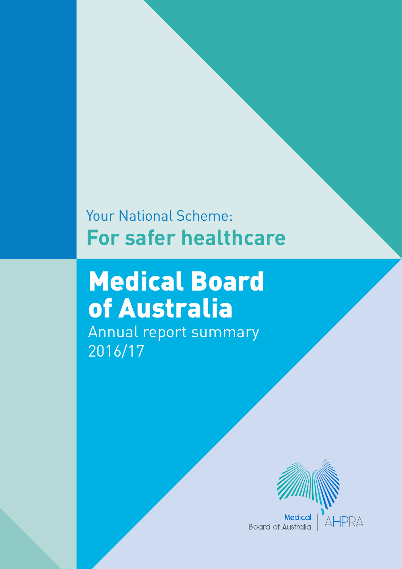# Your National Scheme: **For safer healthcare**

# Medical Board of Australia Annual report summary

2016/17



**Board of Australia**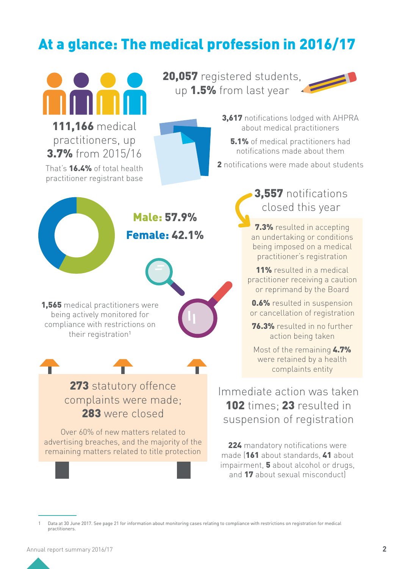# At a glance: The medical profession in 2016/17



111,166 medical practitioners, up 3.7% from 2015/16 That's **16.4%** of total health practitioner registrant base

20,057 registered students, up 1.5% from last year



3,617 notifications lodged with AHPRA about medical practitioners

**5.1%** of medical practitioners had notifications made about them

2 notifications were made about students



Male: 57.9% Female: 42.1%



1,565 medical practitioners were being actively monitored for compliance with restrictions on their registration<sup>1</sup>



# 273 statutory offence complaints were made; 283 were closed

Over 60% of new matters related to advertising breaches, and the majority of the remaining matters related to title protection

3,557 notifications closed this year

7.3% resulted in accepting an undertaking or conditions being imposed on a medical practitioner's registration

11% resulted in a medical practitioner receiving a caution or reprimand by the Board

0.6% resulted in suspension or cancellation of registration

76.3% resulted in no further action being taken

Most of the remaining 4.7% were retained by a health complaints entity

Immediate action was taken 102 times: 23 resulted in suspension of registration

224 mandatory notifications were made (161 about standards, 41 about impairment, 5 about alcohol or drugs, and 17 about sexual misconduct)

Data at 30 June 2017. See page 21 for information about monitoring cases relating to compliance with restrictions on registration for medical practitioners.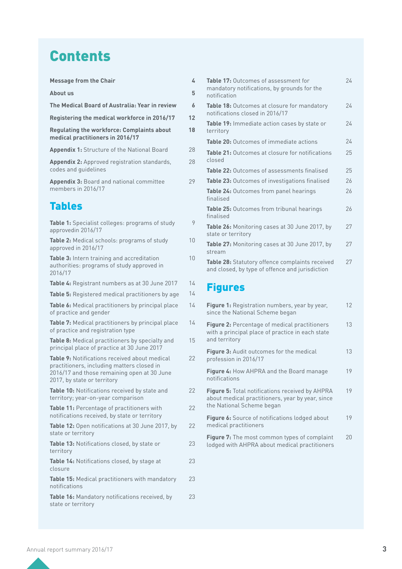# **Contents**

| <b>Message from the Chair</b>                                                         | 4  |
|---------------------------------------------------------------------------------------|----|
| About us                                                                              | 5  |
| The Medical Board of Australia: Year in review                                        | 6  |
| Registering the medical workforce in 2016/17                                          | 12 |
| <b>Regulating the workforce: Complaints about</b><br>medical practitioners in 2016/17 | 18 |
| <b>Appendix 1:</b> Structure of the National Board                                    | 28 |
| <b>Appendix 2:</b> Approved registration standards,<br>codes and quidelines           | 28 |
| <b>Appendix 3: Board and national committee</b><br>members in 2016/17                 | 29 |

# Tables

| Table 1: Specialist colleges: programs of study<br>approvedin 2016/17                                                                                                            | 9               |
|----------------------------------------------------------------------------------------------------------------------------------------------------------------------------------|-----------------|
| Table 2: Medical schools: programs of study<br>approved in 2016/17                                                                                                               | 10              |
| Table 3: Intern training and accreditation<br>authorities: programs of study approved in<br>2016/17                                                                              | 10 <sup>1</sup> |
| Table 4: Registrant numbers as at 30 June 2017                                                                                                                                   | 14              |
| Table 5: Registered medical practitioners by age                                                                                                                                 | 14              |
| Table 6: Medical practitioners by principal place<br>of practice and gender                                                                                                      | 14              |
| Table 7: Medical practitioners by principal place<br>of practice and registration type                                                                                           | 14              |
| Table 8: Medical practitioners by specialty and<br>principal place of practice at 30 June 2017                                                                                   | 15              |
| <b>Table 9:</b> Notifications received about medical<br>practitioners, including matters closed in<br>2016/17 and those remaining open at 30 June<br>2017, by state or territory | 22              |
| Table 10: Notifications received by state and<br>territory; year-on-year comparison                                                                                              | 22              |
| Table 11: Percentage of practitioners with<br>notifications received, by state or territory                                                                                      | 22              |
| Table 12: Open notifications at 30 June 2017, by<br>state or territory                                                                                                           | 22              |
| Table 13: Notifications closed, by state or<br>territory                                                                                                                         | 23              |
| Table 14: Notifications closed, by stage at<br>closure                                                                                                                           | 23              |
| Table 15: Medical practitioners with mandatory<br>notifications                                                                                                                  | 23              |
| Table 16: Mandatory notifications received, by<br>state or territory                                                                                                             | 23              |

| <b>Table 17: Outcomes of assessment for</b><br>mandatory notifications, by grounds for the<br>notification | 24 |
|------------------------------------------------------------------------------------------------------------|----|
| Table 18: Outcomes at closure for mandatory<br>notifications closed in 2016/17                             | 24 |
| <b>Table 19:</b> Immediate action cases by state or<br>territory                                           | 24 |
| Table 20: Outcomes of immediate actions                                                                    | 24 |
| <b>Table 21:</b> Outcomes at closure for notifications<br>closed                                           | 25 |
| <b>Table 22: Outcomes of assessments finalised</b>                                                         | 25 |
| <b>Table 23:</b> Outcomes of investigations finalised                                                      | 26 |
| <b>Table 24:</b> Outcomes from panel hearings<br>finalised                                                 | 26 |
| Table 25: Outcomes from tribunal hearings<br>finalised                                                     | 26 |
| Table 26: Monitoring cases at 30 June 2017, by<br>state or territory                                       | 27 |
| Table 27: Monitoring cases at 30 June 2017, by<br>stream                                                   | 27 |
| Table 28: Statutory offence complaints received<br>and closed, by type of offence and jurisdiction         | 27 |
|                                                                                                            |    |

# Figures

9

| <b>Figure 1:</b> Registration numbers, year by year,<br>since the National Scheme began                                                 | 12 |
|-----------------------------------------------------------------------------------------------------------------------------------------|----|
| <b>Figure 2:</b> Percentage of medical practitioners<br>with a principal place of practice in each state<br>and territory               | 13 |
| <b>Figure 3:</b> Audit outcomes for the medical<br>profession in 2016/17                                                                | 13 |
| Figure 4: How AHPRA and the Board manage<br>notifications                                                                               | 19 |
| <b>Figure 5:</b> Total notifications received by AHPRA<br>about medical practitioners, year by year, since<br>the National Scheme began | 19 |
| Figure 6: Source of notifications lodged about<br>medical practitioners                                                                 | 19 |
| <b>Figure 7:</b> The most common types of complaint<br>lodged with AHPRA about medical practitioners                                    | 20 |
|                                                                                                                                         |    |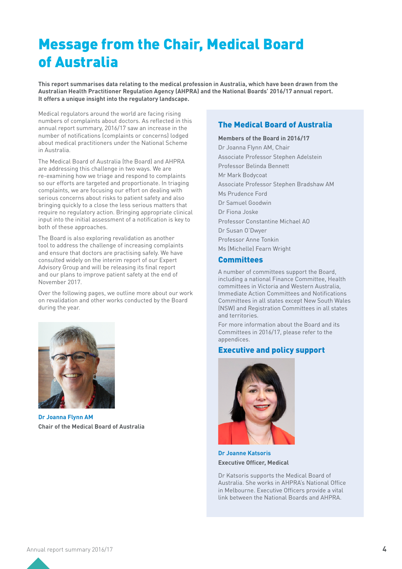# Message from the Chair, Medical Board of Australia

**This report summarises data relating to the medical profession in Australia, which have been drawn from the Australian Health Practitioner Regulation Agency (AHPRA) and the National Boards' 2016/17 annual report. It offers a unique insight into the regulatory landscape.** 

Medical regulators around the world are facing rising numbers of complaints about doctors. As reflected in this annual report summary, 2016/17 saw an increase in the number of notifications (complaints or concerns) lodged about medical practitioners under the National Scheme in Australia.

The Medical Board of Australia (the Board) and AHPRA are addressing this challenge in two ways. We are re-examining how we triage and respond to complaints so our efforts are targeted and proportionate. In triaging complaints, we are focusing our effort on dealing with serious concerns about risks to patient safety and also bringing quickly to a close the less serious matters that require no regulatory action. Bringing appropriate clinical input into the initial assessment of a notification is key to both of these approaches.

The Board is also exploring revalidation as another tool to address the challenge of increasing complaints and ensure that doctors are practising safely. We have consulted widely on the interim report of our Expert Advisory Group and will be releasing its final report and our plans to improve patient safety at the end of November 2017.

Over the following pages, we outline more about our work on revalidation and other works conducted by the Board during the year.



**Dr Joanna Flynn AM Chair of the Medical Board of Australia**

### The Medical Board of Australia

**Members of the Board in 2016/17** Dr Joanna Flynn AM, Chair Associate Professor Stephen Adelstein Professor Belinda Bennett Mr Mark Bodycoat Associate Professor Stephen Bradshaw AM Ms Prudence Ford Dr Samuel Goodwin Dr Fiona Joske Professor Constantine Michael AO Dr Susan O'Dwyer Professor Anne Tonkin Ms (Michelle) Fearn Wright

#### **Committees**

A number of committees support the Board, including a national Finance Committee, Health committees in Victoria and Western Australia, Immediate Action Committees and Notifications Committees in all states except New South Wales (NSW) and Registration Committees in all states and territories.

For more information about the Board and its Committees in 2016/17, please refer to the appendices.

### Executive and policy support



**Dr Joanne Katsoris Executive Officer, Medical**

Dr Katsoris supports the Medical Board of Australia. She works in AHPRA's National Office in Melbourne. Executive Officers provide a vital link between the National Boards and AHPRA.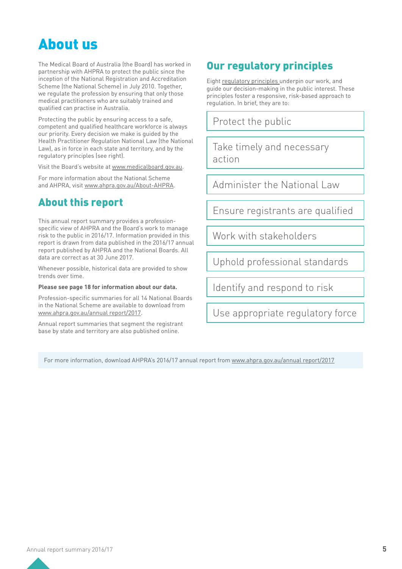# About us

The Medical Board of Australia (the Board) has worked in partnership with AHPRA to protect the public since the inception of the National Registration and Accreditation Scheme (the National Scheme) in July 2010. Together, we regulate the profession by ensuring that only those medical practitioners who are suitably trained and qualified can practise in Australia.

Protecting the public by ensuring access to a safe, competent and qualified healthcare workforce is always our priority. Every decision we make is guided by the Health Practitioner Regulation National Law (the National Law), as in force in each state and territory, and by the regulatory principles (see right).

Visit the Board's website at [www.medicalboard.gov.au.](http://www.medicalboard.gov.au/)

For more information about the National Scheme and AHPRA, visit [www.ahpra.gov.au/About-AHPRA.](file:///Users/sales/Desktop/../../www.ahpra.gov.au/About-AHPRA)

# About this report

This annual report summary provides a professionspecific view of AHPRA and the Board's work to manage risk to the public in 2016/17. Information provided in this report is drawn from data published in the 2016/17 annual report published by AHPRA and the National Boards. All data are correct as at 30 June 2017.

Whenever possible, historical data are provided to show trends over time.

#### **Please see page 18 for information about our data.**

Profession-specific summaries for all 14 National Boards in the National Scheme are available to download from [www.ahpra.gov.au/annual report/2017.](http://www.ahpra.gov.au/annual report/2017)

Annual report summaries that segment the registrant base by state and territory are also published online.

# Our regulatory principles

Eight r[egulatory principles u](https://www.ahpra.gov.au/About-AHPRA/Regulatory-principles.aspx)nderpin our work, and guide our decision-making in the public interest. These principles foster a responsive, risk-based approach to regulation. In brief, they are to:

Protect the public

Take timely and necessary action

Administer the National Law

Ensure registrants are qualified

Work with stakeholders

Uphold professional standards

Identify and respond to risk

Use appropriate regulatory force

For more information, download AHPRA's 2016/17 annual report from [www.ahpra.gov.au/annual report/2017](http://www.ahpra.gov.au/annual report/2017)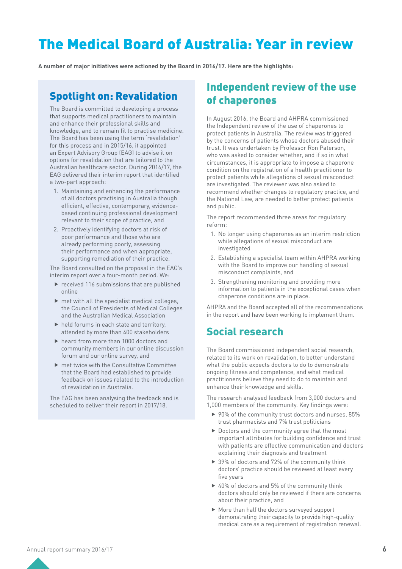# The Medical Board of Australia: Year in review

**A number of major initiatives were actioned by the Board in 2016/17. Here are the highlights:** 

### Spotlight on: Revalidation

The Board is committed to developing a process that supports medical practitioners to maintain and enhance their professional skills and knowledge, and to remain fit to practise medicine. The Board has been using the term 'revalidation' for this process and in 2015/16, it appointed an Expert Advisory Group (EAG) to advise it on options for revalidation that are tailored to the Australian healthcare sector. During 2016/17, the EAG delivered their interim report that identified a two-part approach:

- 1. Maintaining and enhancing the performance of all doctors practising in Australia though efficient, effective, contemporary, evidencebased continuing professional development relevant to their scope of practice, and
- 2. Proactively identifying doctors at risk of poor performance and those who are already performing poorly, assessing their performance and when appropriate, supporting remediation of their practice.

The Board consulted on the proposal in the EAG's interim report over a four-month period. We:

- $\blacktriangleright$  received 116 submissions that are published online
- $\blacktriangleright$  met with all the specialist medical colleges, the Council of Presidents of Medical Colleges and the Australian Medical Association
- $\blacktriangleright$  held forums in each state and territory. attended by more than 400 stakeholders
- $\blacktriangleright$  heard from more than 1000 doctors and community members in our online discussion forum and our online survey, and
- $\blacktriangleright$  met twice with the Consultative Committee that the Board had established to provide feedback on issues related to the introduction of revalidation in Australia.

The EAG has been analysing the feedback and is scheduled to deliver their report in 2017/18.

### Independent review of the use of chaperones

In August 2016, the Board and AHPRA commissioned the Independent review of the use of chaperones to protect patients in Australia. The review was triggered by the concerns of patients whose doctors abused their trust. It was undertaken by Professor Ron Paterson, who was asked to consider whether, and if so in what circumstances, it is appropriate to impose a chaperone condition on the registration of a health practitioner to protect patients while allegations of sexual misconduct are investigated. The reviewer was also asked to recommend whether changes to regulatory practice, and the National Law, are needed to better protect patients and public.

The report recommended three areas for regulatory reform:

- 1. No longer using chaperones as an interim restriction while allegations of sexual misconduct are investigated
- 2. Establishing a specialist team within AHPRA working with the Board to improve our handling of sexual misconduct complaints, and
- 3. Strengthening monitoring and providing more information to patients in the exceptional cases when chaperone conditions are in place.

AHPRA and the Board accepted all of the recommendations in the report and have been working to implement them.

## Social research

The Board commissioned independent social research, related to its work on revalidation, to better understand what the public expects doctors to do to demonstrate ongoing fitness and competence, and what medical practitioners believe they need to do to maintain and enhance their knowledge and skills.

The research analysed feedback from 3,000 doctors and 1,000 members of the community. Key findings were:

- $\triangleright$  90% of the community trust doctors and nurses, 85% trust pharmacists and 7% trust politicians
- $\blacktriangleright$  Doctors and the community agree that the most important attributes for building confidence and trust with patients are effective communication and doctors explaining their diagnosis and treatment
- $\triangleright$  39% of doctors and 72% of the community think doctors' practice should be reviewed at least every five years
- $\triangleright$  40% of doctors and 5% of the community think doctors should only be reviewed if there are concerns about their practice, and
- $\blacktriangleright$  More than half the doctors surveyed support demonstrating their capacity to provide high-quality medical care as a requirement of registration renewal.

Annual report summary 2016/17 **6**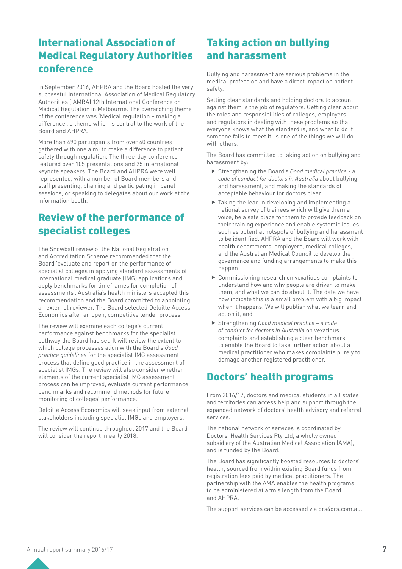# International Association of Medical Regulatory Authorities conference

In September 2016, AHPRA and the Board hosted the very successful International Association of Medical Regulatory Authorities (IAMRA) 12th International Conference on Medical Regulation in Melbourne. The overarching theme of the conference was 'Medical regulation – making a difference', a theme which is central to the work of the Board and AHPRA.

More than 490 participants from over 40 countries gathered with one aim: to make a difference to patient safety through regulation. The three-day conference featured over 105 presentations and 25 international keynote speakers. The Board and AHPRA were well represented, with a number of Board members and staff presenting, chairing and participating in panel sessions, or speaking to delegates about our work at the information booth.

# Review of the performance of specialist colleges

The Snowball review of the National Registration and Accreditation Scheme recommended that the Board 'evaluate and report on the performance of specialist colleges in applying standard assessments of international medical graduate (IMG) applications and apply benchmarks for timeframes for completion of assessments'. Australia's health ministers accepted this recommendation and the Board committed to appointing an external reviewer. The Board selected Deloitte Access Economics after an open, competitive tender process.

The review will examine each college's current performance against benchmarks for the specialist pathway the Board has set. It will review the extent to which college processes align with the Board's *Good practice guidelines* for the specialist IMG assessment process that define good practice in the assessment of specialist IMGs. The review will also consider whether elements of the current specialist IMG assessment process can be improved, evaluate current performance benchmarks and recommend methods for future monitoring of colleges' performance.

Deloitte Access Economics will seek input from external stakeholders including specialist IMGs and employers.

The review will continue throughout 2017 and the Board will consider the report in early 2018.

# Taking action on bullying and harassment

Bullying and harassment are serious problems in the medical profession and have a direct impact on patient safety.

Setting clear standards and holding doctors to account against them is the job of regulators. Getting clear about the roles and responsibilities of colleges, employers and regulators in dealing with these problems so that everyone knows what the standard is, and what to do if someone fails to meet it, is one of the things we will do with others.

The Board has committed to taking action on bullying and harassment by:

- ▶ Strengthening the Board's *Good medical practice a code of conduct for doctors in Australia* about bullying and harassment, and making the standards of acceptable behaviour for doctors clear
- $\blacktriangleright$  Taking the lead in developing and implementing a national survey of trainees which will give them a voice, be a safe place for them to provide feedback on their training experience and enable systemic issues such as potential hotspots of bullying and harassment to be identified. AHPRA and the Board will work with health departments, employers, medical colleges, and the Australian Medical Council to develop the governance and funding arrangements to make this happen
- $\triangleright$  Commissioning research on vexatious complaints to understand how and why people are driven to make them, and what we can do about it. The data we have now indicate this is a small problem with a big impact when it happens. We will publish what we learn and act on it, and
- ▶ Strengthening *Good medical practice a code of conduct for doctors in Australia* on vexatious complaints and establishing a clear benchmark to enable the Board to take further action about a medical practitioner who makes complaints purely to damage another registered practitioner.

# Doctors' health programs

From 2016/17, doctors and medical students in all states and territories can access help and support through the expanded network of doctors' health advisory and referral services.

The national network of services is coordinated by Doctors' Health Services Pty Ltd, a wholly owned subsidiary of the Australian Medical Association (AMA), and is funded by the Board.

The Board has significantly boosted resources to doctors' health, sourced from within existing Board funds from registration fees paid by medical practitioners. The partnership with the AMA enables the health programs to be administered at arm's length from the Board and AHPRA.

The support services can be accessed via [drs4drs.com.au](https://www.doctorportal.com.au/doctorshealth/).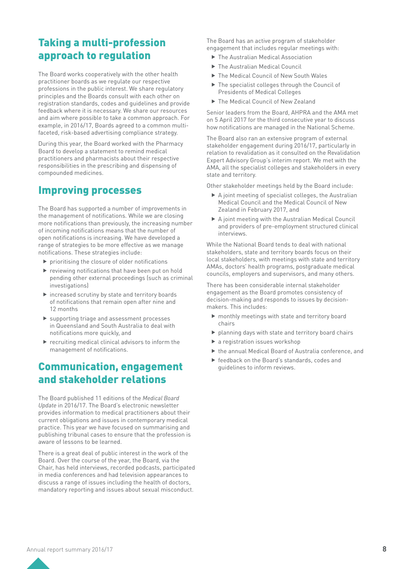# Taking a multi-profession approach to regulation

The Board works cooperatively with the other health practitioner boards as we regulate our respective professions in the public interest. We share regulatory principles and the Boards consult with each other on registration standards, codes and guidelines and provide feedback where it is necessary. We share our resources and aim where possible to take a common approach. For example, in 2016/17, Boards agreed to a common multifaceted, risk-based advertising compliance strategy.

During this year, the Board worked with the Pharmacy Board to develop a statement to remind medical practitioners and pharmacists about their respective responsibilities in the prescribing and dispensing of compounded medicines.

# Improving processes

The Board has supported a number of improvements in the management of notifications. While we are closing more notifications than previously, the increasing number of incoming notifications means that the number of open notifications is increasing. We have developed a range of strategies to be more effective as we manage notifications. These strategies include:

- $\blacktriangleright$  prioritising the closure of older notifications
- $\blacktriangleright$  reviewing notifications that have been put on hold pending other external proceedings (such as criminal investigations)
- $\blacktriangleright$  increased scrutiny by state and territory boards of notifications that remain open after nine and 12 months
- $\blacktriangleright$  supporting triage and assessment processes in Queensland and South Australia to deal with notifications more quickly, and
- $\blacktriangleright$  recruiting medical clinical advisors to inform the management of notifications.

# Communication, engagement and stakeholder relations

The Board published 11 editions of the *Medical Board Update* in 2016/17. The Board's electronic newsletter provides information to medical practitioners about their current obligations and issues in contemporary medical practice. This year we have focused on summarising and publishing tribunal cases to ensure that the profession is aware of lessons to be learned.

There is a great deal of public interest in the work of the Board. Over the course of the year, the Board, via the Chair, has held interviews, recorded podcasts, participated in media conferences and had television appearances to discuss a range of issues including the health of doctors, mandatory reporting and issues about sexual misconduct.

The Board has an active program of stakeholder engagement that includes regular meetings with:

- $\blacktriangleright$  The Australian Medical Association
- ▶ The Australian Medical Council
- $\triangleright$  The Medical Council of New South Wales
- $\blacktriangleright$  The specialist colleges through the Council of Presidents of Medical Colleges
- ▶ The Medical Council of New Zealand

Senior leaders from the Board, AHPRA and the AMA met on 5 April 2017 for the third consecutive year to discuss how notifications are managed in the National Scheme.

The Board also ran an extensive program of external stakeholder engagement during 2016/17, particularly in relation to revalidation as it consulted on the Revalidation Expert Advisory Group's interim report. We met with the AMA, all the specialist colleges and stakeholders in every state and territory.

Other stakeholder meetings held by the Board include:

- $\triangleright$  A joint meeting of specialist colleges, the Australian Medical Council and the Medical Council of New Zealand in February 2017, and
- $\blacktriangleright$  A joint meeting with the Australian Medical Council and providers of pre-employment structured clinical interviews.

While the National Board tends to deal with national stakeholders, state and territory boards focus on their local stakeholders, with meetings with state and territory AMAs, doctors' health programs, postgraduate medical councils, employers and supervisors, and many others.

There has been considerable internal stakeholder engagement as the Board promotes consistency of decision-making and responds to issues by decisionmakers. This includes:

- $\blacktriangleright$  monthly meetings with state and territory board chairs
- $\blacktriangleright$  planning days with state and territory board chairs
- $\blacktriangleright$  a registration issues workshop
- $\blacktriangleright$  the annual Medical Board of Australia conference, and
- feedback on the Board's standards, codes and guidelines to inform reviews.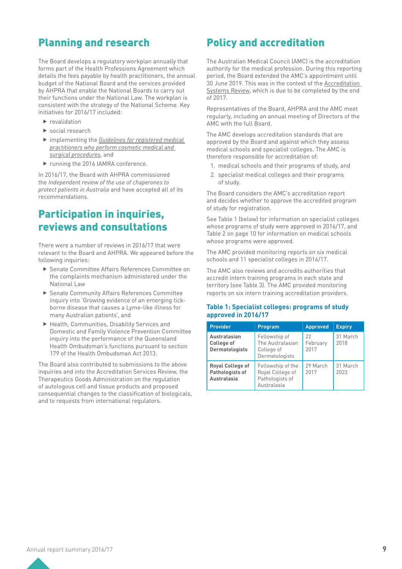## Planning and research

The Board develops a regulatory workplan annually that forms part of the Health Professions Agreement which details the fees payable by health practitioners, the annual budget of the National Board and the services provided by AHPRA that enable the National Boards to carry out their functions under the National Law. The workplan is consistent with the strategy of the National Scheme. Key initiatives for 2016/17 included:

- $\blacktriangleright$  revalidation
- $\blacktriangleright$  social research
- **F** implementing the *Guidelines for registered medical [practitioners who perform cosmetic medical and](http://www.medicalboard.gov.au/News/2016-05-09-media-statement.aspx)  [surgical procedures,](http://www.medicalboard.gov.au/News/2016-05-09-media-statement.aspx)* and
- ▶ running the 2016 IAMRA conference.

In 2016/17, the Board with AHPRA commissioned the *Independent review of the use of chaperones to protect patients in Australia* and have accepted all of its recommendations.

## Participation in inquiries, reviews and consultations

There were a number of reviews in 2016/17 that were relevant to the Board and AHPRA. We appeared before the following inquiries:

- ▶ Senate Committee Affairs References Committee on the complaints mechanism administered under the National Law
- ▶ Senate Community Affairs References Committee inquiry into 'Growing evidence of an emerging tickborne disease that causes a Lyme-like illness for many Australian patients', and
- $\blacktriangleright$  Health, Communities, Disability Services and Domestic and Family Violence Prevention Committee inquiry into the performance of the Queensland Health Ombudsman's functions pursuant to section 179 of the Health Ombudsman Act 2013.

The Board also contributed to submissions to the above inquiries and into the Accreditation Services Review, the Therapeutics Goods Administration on the regulation of autologous cell and tissue products and proposed consequential changes to the classification of biologicals, and to requests from international regulators.

# Policy and accreditation

The Australian Medical Council (AMC) is the accreditation authority for the medical profession. During this reporting period, the Board extended the AMC's appointment until 30 June 2019. This was in the context of the [Accreditation](https://www.coaghealthcouncil.gov.au/Projects/Accreditation-Systems-Review)  [Systems Review,](https://www.coaghealthcouncil.gov.au/Projects/Accreditation-Systems-Review) which is due to be completed by the end of 2017.

Representatives of the Board, AHPRA and the AMC meet regularly, including an annual meeting of Directors of the AMC with the full Board.

The AMC develops accreditation standards that are approved by the Board and against which they assess medical schools and specialist colleges. The AMC is therefore responsible for accreditation of:

- 1. medical schools and their programs of study, and
- 2. specialist medical colleges and their programs of study.

The Board considers the AMC's accreditation report and decides whether to approve the accredited program of study for registration.

See Table 1 (below) for information on specialist colleges whose programs of study were approved in 2016/17, and Table 2 on page 10 for information on medical schools whose programs were approved.

The AMC provided monitoring reports on six medical schools and 11 specialist colleges in 2016/17.

The AMC also reviews and accredits authorities that accredit intern training programs in each state and territory (see Table 3). The AMC provided monitoring reports on six intern training accreditation providers.

#### **Table 1: Specialist colleges: programs of study approved in 2016/17**

| <b>Provider</b>                                                  | <b>Program</b>                                                          | <b>Approved</b>        | <b>Expiry</b>    |
|------------------------------------------------------------------|-------------------------------------------------------------------------|------------------------|------------------|
| Australasian<br><b>College of</b><br><b>Dermatologists</b>       | Fellowship of<br>The Australasian<br>College of<br>Dermatologists       | 22<br>February<br>2017 | 31 March<br>2018 |
| <b>Royal College of</b><br>Pathologists of<br><b>Australasia</b> | Fellowship of the<br>Royal College of<br>Pathologists of<br>Australasia | 29 March<br>2017       | 31 March<br>2023 |

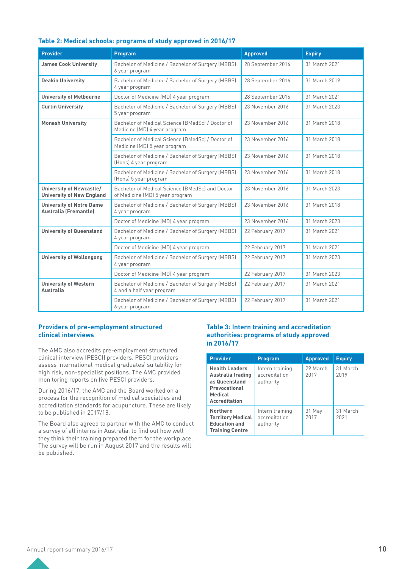|  |  |  | Table 2: Medical schools: programs of study approved in 2016/17 |  |
|--|--|--|-----------------------------------------------------------------|--|
|--|--|--|-----------------------------------------------------------------|--|

| <b>Provider</b>                                                 | Program                                                                            | <b>Approved</b>   | <b>Expiry</b> |
|-----------------------------------------------------------------|------------------------------------------------------------------------------------|-------------------|---------------|
| <b>James Cook University</b>                                    | Bachelor of Medicine / Bachelor of Surgery (MBBS)<br>6 year program                | 28 September 2016 | 31 March 2021 |
| <b>Deakin University</b>                                        | Bachelor of Medicine / Bachelor of Surgery (MBBS)<br>4 year program                | 28 September 2016 | 31 March 2019 |
| <b>University of Melbourne</b>                                  | Doctor of Medicine (MD) 4 year program                                             | 28 September 2016 | 31 March 2021 |
| <b>Curtin University</b>                                        | Bachelor of Medicine / Bachelor of Surgery (MBBS)<br>5 year program                | 23 November 2016  | 31 March 2023 |
| <b>Monash University</b>                                        | Bachelor of Medical Science (BMedSc) / Doctor of<br>Medicine (MD) 4 year program   | 23 November 2016  | 31 March 2018 |
|                                                                 | Bachelor of Medical Science (BMedSc) / Doctor of<br>Medicine (MD) 5 year program   | 23 November 2016  | 31 March 2018 |
|                                                                 | Bachelor of Medicine / Bachelor of Surgery (MBBS)<br>(Hons) 4 year program         | 23 November 2016  | 31 March 2018 |
|                                                                 | Bachelor of Medicine / Bachelor of Surgery (MBBS)<br>(Hons) 5 year program         | 23 November 2016  | 31 March 2018 |
| University of Newcastle/<br><b>University of New England</b>    | Bachelor of Medical Science (BMedSc) and Doctor<br>of Medicine (MD) 5 year program | 23 November 2016  | 31 March 2023 |
| <b>University of Notre Dame</b><br><b>Australia (Fremantle)</b> | Bachelor of Medicine / Bachelor of Surgery (MBBS)<br>4 year program                | 23 November 2016  | 31 March 2018 |
|                                                                 | Doctor of Medicine (MD) 4 year program                                             | 23 November 2016  | 31 March 2023 |
| <b>University of Queensland</b>                                 | Bachelor of Medicine / Bachelor of Surgery (MBBS)<br>4 year program                | 22 February 2017  | 31 March 2021 |
|                                                                 | Doctor of Medicine (MD) 4 year program                                             | 22 February 2017  | 31 March 2021 |
| <b>University of Wollongong</b>                                 | Bachelor of Medicine / Bachelor of Surgery (MBBS)<br>4 year program                | 22 February 2017  | 31 March 2023 |
|                                                                 | Doctor of Medicine (MD) 4 year program                                             | 22 February 2017  | 31 March 2023 |
| <b>University of Western</b><br>Australia                       | Bachelor of Medicine / Bachelor of Surgery (MBBS)<br>4 and a half year program     | 22 February 2017  | 31 March 2021 |
|                                                                 | Bachelor of Medicine / Bachelor of Surgery (MBBS)<br>6 year program                | 22 February 2017  | 31 March 2021 |

#### **Providers of pre-employment structured clinical interviews**

The AMC also accredits pre-employment structured clinical interview (PESCI) providers. PESCI providers assess international medical graduates' suitability for high risk, non-specialist positions. The AMC provided monitoring reports on five PESCI providers.

During 2016/17, the AMC and the Board worked on a process for the recognition of medical specialties and accreditation standards for acupuncture. These are likely to be published in 2017/18.

The Board also agreed to partner with the AMC to conduct a survey of all interns in Australia, to find out how well they think their training prepared them for the workplace. The survey will be run in August 2017 and the results will be published.

#### **Table 3: Intern training and accreditation authorities: programs of study approved in 2016/17**

| <b>Provider</b>                                                                                                 | <b>Program</b>                                | <b>Approved</b>  | <b>Expiry</b>    |
|-----------------------------------------------------------------------------------------------------------------|-----------------------------------------------|------------------|------------------|
| <b>Health Leaders</b><br>Australia trading<br>as Queensland<br>Prevocational<br>Medical<br><b>Accreditation</b> | Intern training<br>accreditation<br>authority | 29 March<br>2017 | 31 March<br>2019 |
| <b>Northern</b><br><b>Territory Medical</b><br><b>Education and</b><br><b>Training Centre</b>                   | Intern training<br>accreditation<br>authority | 31 May<br>2017   | 31 March<br>2021 |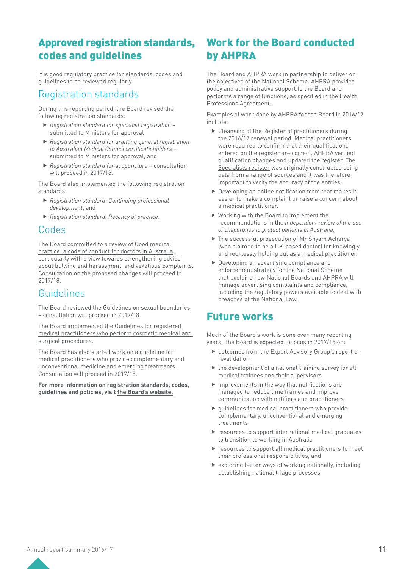# Approved registration standards, codes and guidelines

It is good regulatory practice for standards, codes and guidelines to be reviewed regularly.

### Registration standards

During this reporting period, the Board revised the following registration standards:

- **F** Registration standard for specialist registration submitted to Ministers for approval
- **Registration standard for granting general registration** *to Australian Medical Council certificate holders* – submitted to Ministers for approval, and
- **F** Registration standard for acupuncture consultation will proceed in 2017/18.

The Board also implemented the following registration standards:

- **Registration standard: Continuing professional** *development*, and
- **Registration standard: Recency of practice.**

### Codes

The Board committed to a review of [Good medical](http://www.medicalboard.gov.au/Codes-Guidelines-Policies/Code-of-conduct.aspx)  [practice: a code of conduct for doctors in Australia](http://www.medicalboard.gov.au/Codes-Guidelines-Policies/Code-of-conduct.aspx), particularly with a view towards strengthening advice about bullying and harassment, and vexatious complaints. Consultation on the proposed changes will proceed in 2017/18.

## Guidelines

The Board reviewed the [Guidelines on sexual boundaries](http://www.medicalboard.gov.au/Codes-Guidelines-Policies/Sexual-boundaries-guidelines.aspx) – consultation will proceed in 2017/18.

The Board implemented the [Guidelines for registered](http://www.medicalboard.gov.au/News/2016-05-09-media-statement.aspx)  [medical practitioners who perform cosmetic medical and](http://www.medicalboard.gov.au/News/2016-05-09-media-statement.aspx)  [surgical procedures.](http://www.medicalboard.gov.au/News/2016-05-09-media-statement.aspx)

The Board has also started work on a guideline for medical practitioners who provide complementary and unconventional medicine and emerging treatments. Consultation will proceed in 2017/18.

**For more information on registration standards, codes, guidelines and policies, visit the [Board's website.](http://www.medicalboard.gov.au/)**

# Work for the Board conducted by AHPRA

The Board and AHPRA work in partnership to deliver on the objectives of the National Scheme. AHPRA provides policy and administrative support to the Board and performs a range of functions, as specified in the Health Professions Agreement.

Examples of work done by AHPRA for the Board in 2016/17 include:

- $\triangleright$  Cleansing of the [Register of practitioners](http://www.ahpra.gov.au/Registration/Registers-of-Practitioners.aspx?m=Search) during the 2016/17 renewal period. Medical practitioners were required to confirm that their qualifications entered on the register are correct. AHPRA verified qualification changes and updated the register. The [Specialists register](http://www.ahpra.gov.au/Registration/Registers-of-Practitioners/Specialties-and-Specialty-Fields.aspx) was originally constructed using data from a range of sources and it was therefore important to verify the accuracy of the entries.
- $\blacktriangleright$  Developing an online notification form that makes it easier to make a complaint or raise a concern about a medical practitioner.
- $\blacktriangleright$  Working with the Board to implement the recommendations in the *Independent review of the use of chaperones to protect patients in Australia*.
- ▶ The successful prosecution of Mr Shyam Acharya (who claimed to be a UK-based doctor) for knowingly and recklessly holding out as a medical practitioner.
- $\blacktriangleright$  Developing an advertising compliance and enforcement strategy for the National Scheme that explains how National Boards and AHPRA will manage advertising complaints and compliance, including the regulatory powers available to deal with breaches of the National Law.

## Future works

Much of the Board's work is done over many reporting years. The Board is expected to focus in 2017/18 on:

- $\triangleright$  outcomes from the Expert Advisory Group's report on revalidation
- $\blacktriangleright$  the development of a national training survey for all medical trainees and their supervisors
- $\blacktriangleright$  improvements in the way that notifications are managed to reduce time frames and improve communication with notifiers and practitioners
- $\blacktriangleright$  guidelines for medical practitioners who provide complementary, unconventional and emerging treatments
- $\blacktriangleright$  resources to support international medical graduates to transition to working in Australia
- $\blacktriangleright$  resources to support all medical practitioners to meet their professional responsibilities, and
- $\triangleright$  exploring better ways of working nationally, including establishing national triage processes.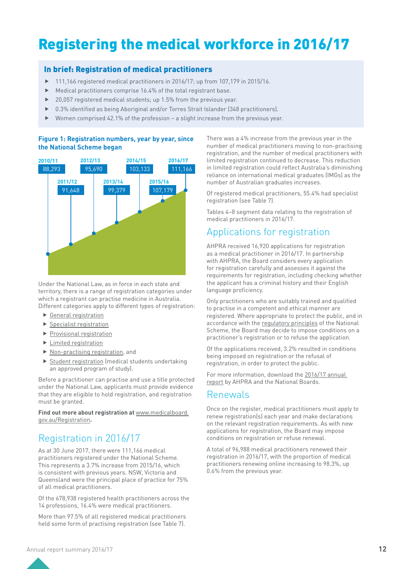# Registering the medical workforce in 2016/17

### In brief: Registration of medical practitioners

- $\blacktriangleright$  111,166 registered medical practitioners in 2016/17; up from 107,179 in 2015/16.
- Medical practitioners comprise 16.4% of the total registrant base.
- $\blacktriangleright$  20,057 registered medical students; up 1.5% from the previous year.
- 0.3% identified as being Aboriginal and/or Torres Strait Islander (348 practitioners).
- $\blacktriangleright$  Women comprised 42.1% of the profession a slight increase from the previous year.

#### **Figure 1: Registration numbers, year by year, since the National Scheme began**



Under the National Law, as in force in each state and territory, there is a range of registration categories under which a registrant can practise medicine in Australia. Different categories apply to different types of registration:

- $\blacktriangleright$  [General registration](http://www.medicalboard.gov.au/Registration/Types/General-Registration.aspx)
- $\blacktriangleright$  [Specialist registration](http://www.medicalboard.gov.au/Registration/Types/Specialist-Registration.aspx)
- $\blacktriangleright$  [Provisional registration](http://www.medicalboard.gov.au/Registration/Types/Provisional-Registration.aspx)
- $\blacktriangleright$  Limited registration
- $\blacktriangleright$  [Non-practising registration](http://www.medicalboard.gov.au/Registration/Types/Non-Practising-Registration.aspx), and
- $\triangleright$  [Student registration](http://www.medicalboard.gov.au/Registration/Types/Student-Registration.aspx) (medical students undertaking an approved program of study).

Before a practitioner can practise and use a title protected under the National Law, applicants must provide evidence that they are eligible to hold registration, and registration must be granted.

Find out more about registration at **[www.medicalboard.](http://www.medicalboard.gov.au/Registration.aspx)** [gov.au/Registration](http://www.medicalboard.gov.au/Registration.aspx)**.**

# Registration in 2016/17

As at 30 June 2017, there were 111,166 medical practitioners registered under the National Scheme. This represents a 3.7% increase from 2015/16, which is consistent with previous years. NSW, Victoria and Queensland were the principal place of practice for 75% of all medical practitioners.

Of the 678,938 registered health practitioners across the 14 professions, 16.4% were medical practitioners.

More than 97.5% of all registered medical practitioners held some form of practising registration (see Table 7).

There was a 4% increase from the previous year in the number of medical practitioners moving to non-practising registration, and the number of medical practitioners with limited registration continued to decrease. This reduction in limited registration could reflect Australia's diminishing reliance on international medical graduates (IMGs) as the number of Australian graduates increases.

Of registered medical practitioners, 55.4% had specialist registration (see Table 7).

Tables 4–8 segment data relating to the registration of medical practitioners in 2016/17.

## Applications for registration

AHPRA received 16,920 applications for registration as a medical practitioner in 2016/17. In partnership with AHPRA, the Board considers every application for registration carefully and assesses it against the requirements for registration, including checking whether the applicant has a criminal history and their English language proficiency.

Only practitioners who are suitably trained and qualified to practise in a competent and ethical manner are registered. Where appropriate to protect the public, and in accordance with the [regulatory principles](https://www.ahpra.gov.au/About-AHPRA/Regulatory-principles.aspx) of the National Scheme, the Board may decide to impose conditions on a practitioner's registration or to refuse the application.

Of the applications received, 3.2% resulted in conditions being imposed on registration or the refusal of registration, in order to protect the public.

For more information, download the [2016/17 annual](http://www.ahpra.gov.au/annualreport/2017)  [report](http://www.ahpra.gov.au/annualreport/2017) by AHPRA and the National Boards.

### Renewals

Once on the register, medical practitioners must apply to renew registration(s) each year and make declarations on the relevant registration requirements. As with new applications for registration, the Board may impose conditions on registration or refuse renewal.

A total of 96,988 medical practitioners renewed their registration in 2016/17, with the proportion of medical practitioners renewing online increasing to 98.3%, up 0.6% from the previous year.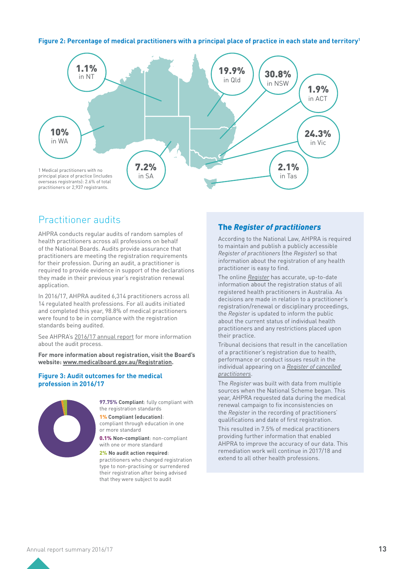#### **Figure 2: Percentage of medical practitioners with a principal place of practice in each state and territory1**



## Practitioner audits

AHPRA conducts regular audits of random samples of health practitioners across all professions on behalf of the National Boards. Audits provide assurance that practitioners are meeting the registration requirements for their profession. During an audit, a practitioner is required to provide evidence in support of the declarations they made in their previous year's registration renewal application.

In 2016/17, AHPRA audited 6,314 practitioners across all 14 regulated health professions. For all audits initiated and completed this year, 98.8% of medical practitioners were found to be in compliance with the registration standards being audited.

See [AHPRA's 2016/17 annual report](http://www.ahpra.gov.au/annualreport/2017) for more information about the audit process.

**For more information about registration, visit the Board's website: [www.medicalboard.gov.au/Registration.](http://www.medicalboard.gov.au/Registration)**

#### **Figure 3: Audit outcomes for the medical profession in 2016/17**



**97.75% Compliant**: fully compliant with the registration standards

1% **Compliant (education)**: compliant through education in one or more standard

0.1% **Non-compliant**: non-compliant with one or more standard

2% **No audit action required**: practitioners who changed registration type to non-practising or surrendered their registration after being advised that they were subject to audit

### The *Register of practitioners*

According to the National Law, AHPRA is required to maintain and publish a publicly accessible *Register of practitioners* (the *Register*) so that information about the registration of any health practitioner is easy to find.

The online *[Register](http://www.ahpra.gov.au/Registration/Registers-of-Practitioners.aspx)* has accurate, up-to-date information about the registration status of all registered health practitioners in Australia. As decisions are made in relation to a practitioner's registration/renewal or disciplinary proceedings, the *Register* is updated to inform the public about the current status of individual health practitioners and any restrictions placed upon their practice.

Tribunal decisions that result in the cancellation of a practitioner's registration due to health, performance or conduct issues result in the individual appearing on a *[Register of cancelled](http://www.ahpra.gov.au/Registration/Registers-of-Practitioners/Cancelled-Health-Practitioners.aspx)  [practitioners](http://www.ahpra.gov.au/Registration/Registers-of-Practitioners/Cancelled-Health-Practitioners.aspx)*.

The *Register* was built with data from multiple sources when the National Scheme began. This year, AHPRA requested data during the medical renewal campaign to fix inconsistencies on the *Register* in the recording of practitioners' qualifications and date of first registration.

This resulted in 7.5% of medical practitioners providing further information that enabled AHPRA to improve the accuracy of our data. This remediation work will continue in 2017/18 and extend to all other health professions.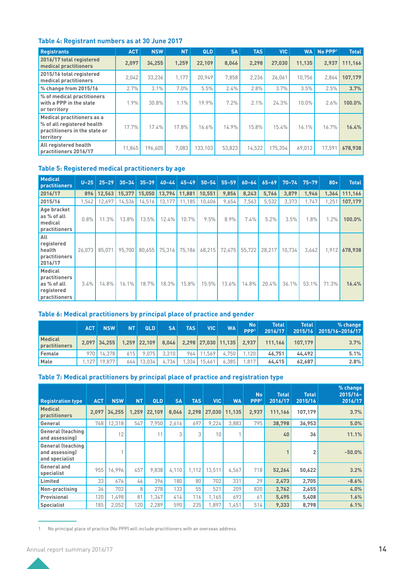### **Table 4: Registrant numbers as at 30 June 2017**

| <b>Registrants</b>                                                                                            | <b>ACT</b> | <b>NSW</b> | <b>NT</b> | <b>QLD</b> | <b>SA</b> | <b>TAS</b> | <b>VIC</b> | <b>WA</b> | No PPP <sup>1</sup> | <b>Total</b> |
|---------------------------------------------------------------------------------------------------------------|------------|------------|-----------|------------|-----------|------------|------------|-----------|---------------------|--------------|
| 2016/17 total registered<br><b>medical practitioners</b>                                                      | 2.097      | 34.255     | 1.259     | 22.109     | 8.046     | 2.298      | 27.030     | 11.135    | 2.937               | 111.166      |
| 2015/16 total registered<br>medical practitioners                                                             | 2.042      | 33,236     | 1.177     | 20.949     | 7.858     | 2,236      | 26,061     | 10.756    | 2,864               | 107.179      |
| % change from 2015/16                                                                                         | 2.7%       | 3.1%       | $7.0\%$   | 5.5%       | 2.4%      | 2.8%       | 3.7%       | 3.5%      | 2.5%                | 3.7%         |
| % of medical practitioners<br>with a PPP in the state<br>or territory                                         | 1.9%       | 30.8%      | 1.1%      | 19.9%      | 7.2%      | $2.1\%$    | 24.3%      | $10.0\%$  | 2.6%                | 100.0%       |
| <b>Medical practitioners as a</b><br>% of all registered health<br>practitioners in the state or<br>territory | 17.7%      | 17.4%      | 17.8%     | 16.6%      | 14.9%     | 15.8%      | 15.4%      | 16.1%     | 16.7%               | 16.4%        |
| All registered health<br>practitioners 2016/17                                                                | 11.845     | 196.605    | 7.083     | 133.103    | 53.823    | 14.522     | 175.354    | 69.012    | 17.591              | 678.938      |

#### **Table 5: Registered medical practitioners by age**

| <b>Medical</b><br>practitioners                                               | $U-25$ | $25 - 29$ | $30 - 34$ | $35 - 39$ | $40 - 44$ | $45 - 49$ | $50 - 54$ | $55 - 59$ | $60 - 64$ | $65 - 69$ | $70 - 74$ | $75 - 79$ | $80+$ | <b>Total</b> |
|-------------------------------------------------------------------------------|--------|-----------|-----------|-----------|-----------|-----------|-----------|-----------|-----------|-----------|-----------|-----------|-------|--------------|
| 2016/17                                                                       | 896    | 12.563    | 15.377    | 15.050    | 13,794    | 11,881    | 10,551    | 9.856     | 8,243     | 5,766     | 3,879     | 1,946     | 1,364 | 111,166      |
| 2015/16                                                                       | 1,542  | 12.697    | 14,536    | 14,516    | 13,177    | 11,185    | 10,406    | 9,654     | 7,563     | 5,532     | 3,373     | 1,747     | 1,251 | 107,179      |
| Age bracket<br>as % of all<br>medical<br>practitioners                        | 0.8%   | 11.3%     | 13.8%     | 13.5%     | 12.4%     | 10.7%     | 9.5%      | 8.9%      | 7.4%      | 5.2%      | 3.5%      | 1.8%      | 1.2%  | 100.0%       |
| All<br>registered<br>health<br>practitioners<br>2016/17                       | 26.073 | 85.071    | 95.700    | 80.655    | 75,316    | 75.186    | 68,215    | 72,475    | 55,722    | 28,217    | 10.734    | 3,662     | 1,912 | 678.938      |
| <b>Medical</b><br>practitioners<br>as % of all<br>registered<br>practitioners | 3.4%   | 14.8%     | 16.1%     | 18.7%     | 18.3%     | 15.8%     | 15.5%     | 13.6%     | 14.8%     | 20.4%     | 36.1%     | 53.1%     | 71.3% | 16.4%        |

### **Table 6: Medical practitioners by principal place of practice and gender**

|                                 | ACT | <b>NSW</b>   | <b>NT</b> | <b>QLD</b>           | <b>SA</b> | <b>TAS</b> | <b>VIC</b>     | <b>WA</b>           | <b>No</b><br>PPP <sup>1</sup> | <b>Total</b><br>2016/17 | <b>Total</b> | % change<br>2015/16 2015/16-2016/17 |
|---------------------------------|-----|--------------|-----------|----------------------|-----------|------------|----------------|---------------------|-------------------------------|-------------------------|--------------|-------------------------------------|
| <b>Medical</b><br>practitioners |     | 2.097 34.255 |           | $1,259$ 22,109 8,046 |           |            |                | 2,298 27,030 11,135 | 2.937                         | 111.166                 | 107.179      | 3.7%                                |
| Female                          |     | 970 14.378   | 6151      | 9.075                | 3.310     |            | 964 11.569     | 4.750               | .120                          | 46.751                  | 44.492       | 5.1%                                |
| Male                            |     | 1.127 19.877 |           | $644$ 13.034         | 4.736     |            | $1.334$ 15.461 | 6.385               | 817 <sub>1</sub>              | 64.415                  | 62.687       | 2.8%                                |

### **Table 7: Medical practitioners by principal place of practice and registration type**

| <b>Registration type</b>                                     | <b>ACT</b> | <b>NSW</b> | <b>NT</b> | QLD    | <b>SA</b> | <b>TAS</b> | <b>VIC</b> | <b>WA</b> | <b>No</b><br>PPP <sup>1</sup> | <b>Total</b><br>2016/17 | <b>Total</b><br>2015/16 | % change<br>$2015/16 -$<br>2016/17 |
|--------------------------------------------------------------|------------|------------|-----------|--------|-----------|------------|------------|-----------|-------------------------------|-------------------------|-------------------------|------------------------------------|
| <b>Medical</b><br><b>practitioners</b>                       | 2.097      | 34,255     | 1,259     | 22.109 | 8.046     | 2,298      | 27,030     | 11,135    | 2.937                         | 111,166                 | 107,179                 | 3.7%                               |
| General                                                      | 768        | 12,318     | 547       | 7.950  | 2,616     | 697        | 9.224      | 3.883     | 795                           | 38,798                  | 36,953                  | 5.0%                               |
| <b>General (teaching</b><br>and assessing)                   |            | 12         |           | 11     | 3         | 3          | 10         |           |                               | 40                      | 36                      | 11.1%                              |
| <b>General (teaching</b><br>and assessing)<br>and specialist |            |            |           |        |           |            |            |           |                               |                         |                         | $-50.0%$                           |
| General and<br>specialist                                    | 955        | 16.996     | 457       | 9.838  | 4.110     | 1.112      | 13.511     | 4.567     | 718                           | 52,264                  | 50,622                  | 3.2%                               |
| Limited                                                      | 33         | 676        | 46        | 396    | 180       | 80         | 702        | 331       | 29                            | 2,473                   | 2.705                   | $-8.6%$                            |
| Non-practising                                               | 36         | 702        | 8         | 278    | 133       | 55         | 521        | 209       | 820                           | 2,762                   | 2,655                   | 4.0%                               |
| Provisional                                                  | 120        | .498       | 81        | 1,347  | 414       | 116        | 1,165      | 693       | 61                            | 5,495                   | 5,408                   | 1.6%                               |
| <b>Specialist</b>                                            | 185        | 2,052      | 120       | 2.289  | 590       | 235        | .897       | .451      | 514                           | 9.333                   | 8,798                   | 6.1%                               |

1 No principal place of practice (No PPP) will include practitioners with an overseas address.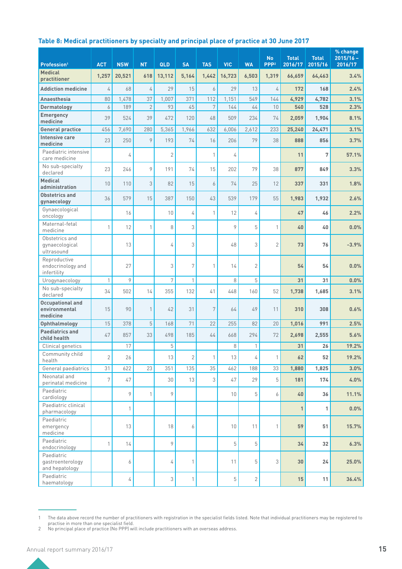### **Table 8: Medical practitioners by specialty and principal place of practice at 30 June 2017**

| Profession <sup>1</sup>                              | <b>ACT</b>     | <b>NSW</b>   | <b>NT</b>      | QLD            | <b>SA</b>    | <b>TAS</b>   | <b>VIC</b>      | <b>WA</b>      | <b>No</b><br>PPP <sup>2</sup> | <b>Total</b><br>2016/17 | <b>Total</b><br>2015/16 | % change<br>$2015/16 -$<br>2016/17 |
|------------------------------------------------------|----------------|--------------|----------------|----------------|--------------|--------------|-----------------|----------------|-------------------------------|-------------------------|-------------------------|------------------------------------|
| <b>Medical</b><br>practitioner                       | 1,257          | 20,521       | 618            | 13,112         | 5,164        | 1,442        | 16,723          | 6,503          | 1,319                         | 66,659                  | 64,463                  | 3.4%                               |
| <b>Addiction medicine</b>                            | $\overline{4}$ | 68           | 4              | 29             | 15           | 6            | 29              | 13             | 4                             | 172                     | 168                     | 2.4%                               |
| <b>Anaesthesia</b>                                   | 80             | 1,478        | 37             | 1,007          | 371          | 112          | 1,151           | 549            | 144                           | 4,929                   | 4,782                   | 3.1%                               |
| Dermatology                                          | 6              | 189          | $\overline{2}$ | 93             | 45           | 7            | 144             | 44             | 10                            | 540                     | 528                     | 2.3%                               |
| <b>Emergency</b><br>medicine                         | 39             | 524          | 39             | 472            | 120          | 48           | 509             | 234            | 74                            | 2,059                   | 1,904                   | 8.1%                               |
| <b>General practice</b>                              | 456            | 7,690        | 280            | 5,365          | 1,966        | 632          | 6,006           | 2,612          | 233                           | 25,240                  | 24,471                  | 3.1%                               |
| <b>Intensive care</b><br>medicine                    | 23             | 250          | 9              | 193            | 74           | 16           | 206             | 79             | 38                            | 888                     | 856                     | 3.7%                               |
| Paediatric intensive<br>care medicine                |                | 4            |                | $\overline{2}$ |              | $\mathbf{1}$ | 4               |                |                               | 11                      | 7                       | 57.1%                              |
| No sub-specialty<br>declared                         | 23             | 246          | 9              | 191            | 74           | 15           | 202             | 79             | 38                            | 877                     | 849                     | 3.3%                               |
| <b>Medical</b><br>administration                     | 10             | 110          | 3              | 82             | 15           | 6            | 74              | 25             | 12                            | 337                     | 331                     | 1.8%                               |
| Obstetrics and<br>gynaecology                        | 36             | 579          | 15             | 387            | 150          | 43           | 539             | 179            | 55                            | 1,983                   | 1,932                   | 2.6%                               |
| Gynaecological<br>oncology                           |                | 16           |                | 10             | 4            | $\mathbf{1}$ | 12              | 4              |                               | 47                      | 46                      | 2.2%                               |
| Maternal-fetal<br>medicine                           | 1              | 12           | 1              | 8              | 3            |              | 9               | 5              | 1                             | 40                      | 40                      | 0.0%                               |
| Obstetrics and<br>gynaecological<br>ultrasound       |                | 13           |                | 4              | 3            |              | 48              | 3              | $\overline{2}$                | 73                      | 76                      | $-3.9%$                            |
| Reproductive<br>endocrinology and<br>infertility     |                | 27           |                | 3              | 7            | $\mathbf{1}$ | 14              | $\overline{2}$ |                               | 54                      | 54                      | 0.0%                               |
| Urogynaecology                                       | $\mathbf{1}$   | 9            |                | 7              | 1            |              | 8               | 5              |                               | 31                      | 31                      | 0.0%                               |
| No sub-specialty<br>declared                         | 34             | 502          | 14             | 355            | 132          | 41           | 448             | 160            | 52                            | 1,738                   | 1,685                   | 3.1%                               |
| <b>Occupational and</b><br>environmental<br>medicine | 15             | 90           | $\mathbf{1}$   | 42             | 31           | 7            | 64              | 49             | 11                            | 310                     | 308                     | 0.6%                               |
| Ophthalmology                                        | 15             | 378          | 5              | 168            | 71           | 22           | 255             | 82             | 20                            | 1,016                   | 991                     | 2.5%                               |
| <b>Paediatrics and</b><br>child health               | 47             | 857          | 33             | 498            | 185          | 44           | 668             | 294            | 72                            | 2,698                   | 2,555                   | 5.6%                               |
| Clinical genetics                                    |                | 17           |                | 5              |              |              | 8               | $\mathbf{1}$   |                               | 31                      | 26                      | 19.2%                              |
| Community child<br>health                            | $\overline{2}$ | 26           |                | 13             | $\mathbf{2}$ | $\mathbf{1}$ | 13              | 4              | 1                             | 62                      | 52                      | 19.2%                              |
| General paediatrics                                  | 31             | 622          | 23             | 351            | 135          | 35           | 462             | 188            | 33                            | 1,880                   | 1,825                   | 3.0%                               |
| Neonatal and<br>perinatal medicine                   | 7              | 47           |                | 30             | 13           | 3            | 47              | 29             | 5                             | 181                     | 174                     | 4.0%                               |
| Paediatric<br>cardiology                             |                | 9            | 1              | 9              |              |              | 10 <sup>°</sup> | 5              | 6                             | 40                      | 36                      | 11.1%                              |
| Paediatric clinical<br>pharmacology                  |                | $\mathbf{1}$ |                |                |              |              |                 |                |                               | $\mathbf{1}$            | 1                       | 0.0%                               |
| Paediatric<br>emergency<br>medicine                  |                | 13           |                | 18             | 6            |              | 10 <sup>°</sup> | 11             | $\mathbf{1}$                  | 59                      | 51                      | 15.7%                              |
| Paediatric<br>endocrinology                          | 1              | 14           |                | 9              |              |              | 5               | 5              |                               | 34                      | 32                      | 6.3%                               |
| Paediatric<br>gastroenterology<br>and hepatology     |                | 6            |                | 4              | 1            |              | 11              | 5              | 3                             | 30                      | 24                      | 25.0%                              |
| Paediatric<br>haematology                            |                | 4            |                | 3              | $\mathbf{1}$ |              | 5               | $\mathbf{2}$   |                               | 15                      | 11                      | 36.4%                              |

<sup>1</sup> The data above record the number of practitioners with registration in the specialist fields listed. Note that individual practitioners may be registered to

practise in more than one specialist field.

<sup>2</sup> No principal place of practice (No PPP) will include practitioners with an overseas address.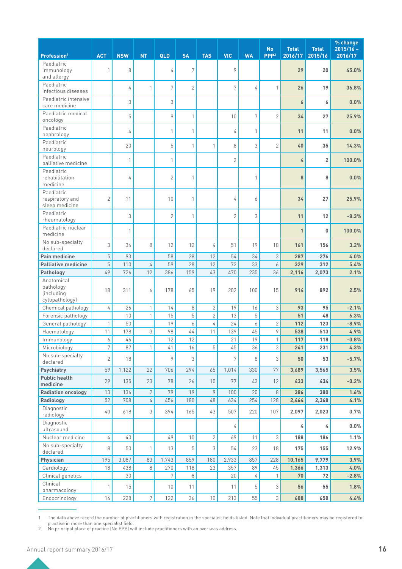| Profession <sup>1</sup>                                        | <b>ACT</b>     | <b>NSW</b> | <b>NT</b>        | QLD            | <b>SA</b>      | <b>TAS</b>     | <b>VIC</b>     | <b>WA</b>    | <b>No</b><br>PPP <sup>2</sup> | <b>Total</b><br>2016/17 | <b>Total</b><br>2015/16 | % change<br>$2015/16 -$<br>2016/17 |
|----------------------------------------------------------------|----------------|------------|------------------|----------------|----------------|----------------|----------------|--------------|-------------------------------|-------------------------|-------------------------|------------------------------------|
| Paediatric                                                     |                |            |                  |                |                |                |                |              |                               |                         |                         |                                    |
| immunology<br>and allergy                                      | 1              | 8          |                  | 4              | 7              |                | 9              |              |                               | 29                      | 20                      | 45.0%                              |
| Paediatric<br>infectious diseases                              |                | 4          |                  | 7              | $\overline{2}$ |                | 7              | 4            | 1                             | 26                      | 19                      | 36.8%                              |
| Paediatric intensive<br>care medicine                          |                | 3          |                  | 3              |                |                |                |              |                               | 6                       | 6                       | 0.0%                               |
| Paediatric medical<br>oncology                                 |                | 5          |                  | 9              | 1              |                | 10             | 7            | $\overline{2}$                | 34                      | 27                      | 25.9%                              |
| Paediatric<br>nephrology                                       |                | 4          |                  | 1              | 1              |                | 4              | $\mathbf{1}$ |                               | 11                      | 11                      | 0.0%                               |
| Paediatric<br>neurology                                        |                | 20         |                  | 5              | 1              | 1              | 8              | 3            | $\overline{2}$                | 40                      | 35                      | 14.3%                              |
| Paediatric<br>palliative medicine                              |                | 1          |                  | 1              |                |                | $\overline{2}$ |              |                               | 4                       | $\overline{\mathbf{c}}$ | 100.0%                             |
| Paediatric<br>rehabilitation<br>medicine                       |                | 4          |                  | $\overline{2}$ | 1              |                |                | 1            |                               | 8                       | 8                       | 0.0%                               |
| Paediatric<br>respiratory and<br>sleep medicine                | $\overline{2}$ | 11         |                  | 10             | 1              |                | 4              | 6            |                               | 34                      | 27                      | 25.9%                              |
| Paediatric<br>rheumatology                                     |                | 3          |                  | $\overline{2}$ | 1              |                | $\overline{2}$ | 3            |                               | 11                      | 12                      | $-8.3%$                            |
| Paediatric nuclear<br>medicine                                 |                | 1          |                  |                |                |                |                |              |                               | $\mathbf{1}$            | 0                       | 100.0%                             |
| No sub-specialty<br>declared                                   | 3              | 34         | 8                | 12             | 12             | 4              | 51             | 19           | 18                            | 161                     | 156                     | 3.2%                               |
| <b>Pain medicine</b>                                           | 5              | 93         |                  | 58             | 28             | 12             | 54             | 34           | 3                             | 287                     | 276                     | 4.0%                               |
| <b>Palliative medicine</b>                                     | 5              | 110        | 4                | 59             | 28             | 12             | 72             | 33           | 6                             | 329                     | 312                     | 5.4%                               |
| Pathology                                                      | 49             | 726        | 12               | 386            | 159            | 43             | 470            | 235          | 36                            | 2,116                   | 2,073                   | 2.1%                               |
| Anatomical<br>pathology<br><i>(including</i><br>cytopathology) | 18             | 311        | 6                | 178            | 65             | 19             | 202            | 100          | 15                            | 914                     | 892                     | 2.5%                               |
| Chemical pathology                                             | 4              | 26         | $\mathbf{1}$     | 14             | 8              | $\overline{2}$ | 19             | 16           | 3                             | 93                      | 95                      | $-2.1%$                            |
| Forensic pathology                                             |                | 10         | $\mathbf{1}$     | 15             | 5              | $\sqrt{2}$     | 13             | 5            |                               | 51                      | 48                      | 6.3%                               |
| General pathology                                              | $\mathbf{1}$   | 50         |                  | 19             | 6              | 4              | 24             | 6            | $\overline{2}$                | 112                     | 123                     | $-8.9%$                            |
| Haematology                                                    | 11             | 178        | 3                | 98             | 44             | 11             | 139            | 45           | 9                             | 538                     | 513                     | 4.9%                               |
| Immunology                                                     | 6              | 46         |                  | 12             | 12             |                | 21             | 19           | $\,1$                         | 117                     | 118                     | $-0.8%$                            |
| Microbiology                                                   | 7              | 87         | $\mathbf{1}$     | 41             | 16             | 5              | 45             | 36           | 3                             | 241                     | 231                     | 4.3%                               |
| No sub-specialty<br>declared                                   | $\overline{2}$ | 18         |                  | 9              | 3              |                | 7              | 8            | 3                             | 50                      | 53                      | $-5.7%$                            |
| Psychiatry                                                     | 59             | 1,122      | 22               | 706            | 294            | 65             | 1,014          | 330          | 77                            | 3,689                   | 3,565                   | 3.5%                               |
| <b>Public health</b><br>medicine                               | 29             | 135        | 23               | 78             | 26             | 10             | 77             | 43           | 12                            | 433                     | 434                     | $-0.2%$                            |
| <b>Radiation oncology</b>                                      | 13             | 136        | $\overline{2}$   | 79             | 19             | 9              | 100            | 20           | 8                             | 386                     | 380                     | 1.6%                               |
| Radiology                                                      | 52             | 708        | 4                | 456            | 180            | 48             | 634            | 254          | 128                           | 2,464                   | 2,368                   | 4.1%                               |
| Diagnostic<br>radiology                                        | 40             | 618        | 3                | 394            | 165            | 43             | 507            | 220          | 107                           | 2,097                   | 2,023                   | 3.7%                               |
| Diagnostic<br>ultrasound                                       |                |            |                  |                |                |                | 4              |              |                               | 4                       | 4                       | $0.0\%$                            |
| Nuclear medicine                                               | 4              | 40         |                  | 49             | 10             | $\overline{2}$ | 69             | 11           | $\mathfrak I$                 | 188                     | 186                     | 1.1%                               |
| No sub-specialty<br>declared                                   | 8              | 50         | 1                | 13             | 5              | 3              | 54             | 23           | 18                            | 175                     | 155                     | 12.9%                              |
| Physician                                                      | 195            | 3,087      | 83               | 1,743          | 859            | 180            | 2,933          | 857          | 228                           | 10,165                  | 9,779                   | 3.9%                               |
| Cardiology                                                     | 18             | 438        | 8                | 270            | 118            | 23             | 357            | 89           | 45                            | 1,366                   | 1,313                   | 4.0%                               |
| Clinical genetics<br>Clinical                                  | $\mathbf{1}$   | 30<br>15   |                  | 7<br>10        | 8<br>11        |                | 20<br>11       | 4<br>5       | 1<br>3                        | 70<br>56                | 72<br>55                | $-2.8%$<br>1.8%                    |
| pharmacology                                                   |                |            |                  |                |                |                |                |              |                               |                         |                         |                                    |
| Endocrinology                                                  | 14             | 228        | $\boldsymbol{7}$ | 122            | 36             | $10\,$         | 213            | 55           | 3                             | 688                     | 658                     | 4.6%                               |

<sup>1</sup> The data above record the number of practitioners with registration in the specialist fields listed. Note that individual practitioners may be registered to practise in more than one specialist field.

<sup>2</sup> No principal place of practice (No PPP) will include practitioners with an overseas address.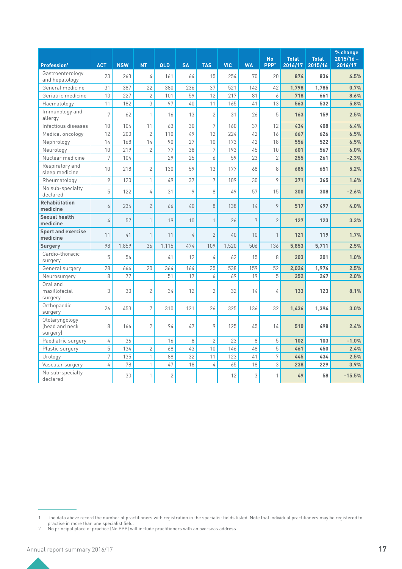| Profession <sup>1</sup>                      | <b>ACT</b>     | <b>NSW</b> | <b>NT</b>      | QLD            | <b>SA</b>      | <b>TAS</b>       | <b>VIC</b> | <b>WA</b> | <b>No</b><br>PPP <sup>2</sup> | <b>Total</b><br>2016/17 | <b>Total</b><br>2015/16 | % change<br>$2015/16 -$<br>2016/17 |
|----------------------------------------------|----------------|------------|----------------|----------------|----------------|------------------|------------|-----------|-------------------------------|-------------------------|-------------------------|------------------------------------|
| Gastroenterology<br>and hepatology           | 23             | 263        | 4              | 161            | 64             | 15               | 254        | 70        | 20                            | 874                     | 836                     | 4.5%                               |
| General medicine                             | 31             | 387        | 22             | 380            | 236            | 37               | 521        | 142       | 42                            | 1,798                   | 1,785                   | 0.7%                               |
| Geriatric medicine                           | 13             | 227        | $\overline{2}$ | 101            | 59             | 12               | 217        | 81        | 6                             | 718                     | 661                     | 8.6%                               |
| Haematology                                  | 11             | 182        | $\overline{3}$ | 97             | 40             | 11               | 165        | 41        | 13                            | 563                     | 532                     | 5.8%                               |
| Immunology and<br>allergy                    | 7              | 62         | $\mathbf{1}$   | 16             | 13             | $\overline{2}$   | 31         | 26        | 5                             | 163                     | 159                     | 2.5%                               |
| Infectious diseases                          | 10             | 104        | 11             | 63             | 30             | $\boldsymbol{7}$ | 160        | 37        | 12                            | 434                     | 408                     | 6.4%                               |
| Medical oncology                             | 12             | 200        | $\overline{2}$ | 110            | 49             | 12               | 224        | 42        | 16                            | 667                     | 626                     | 6.5%                               |
| Nephrology                                   | 14             | 168        | 14             | 90             | 27             | 10               | 173        | 42        | 18                            | 556                     | 522                     | 6.5%                               |
| Neurology                                    | 10             | 219        | $\overline{2}$ | 77             | 38             | $\sqrt{ }$       | 193        | 45        | 10                            | 601                     | 567                     | 6.0%                               |
| Nuclear medicine                             | 7              | 104        |                | 29             | 25             | 6                | 59         | 23        | $\overline{2}$                | 255                     | 261                     | $-2.3%$                            |
| Respiratory and<br>sleep medicine            | 10             | 218        | $\overline{2}$ | 130            | 59             | 13               | 177        | 68        | 8                             | 685                     | 651                     | 5.2%                               |
| Rheumatology                                 | 9              | 120        | $\mathbf{1}$   | 49             | 37             | $\boldsymbol{7}$ | 109        | 30        | 9                             | 371                     | 365                     | 1.6%                               |
| No sub-specialty<br>declared                 | 5              | 122        | 4              | 31             | 9              | 8                | 49         | 57        | 15                            | 300                     | 308                     | $-2.6%$                            |
| <b>Rehabilitation</b><br>medicine            | 6              | 234        | $\overline{2}$ | 66             | 40             | 8                | 138        | 14        | 9                             | 517                     | 497                     | 4.0%                               |
| <b>Sexual health</b><br>medicine             | 4              | 57         | 1              | 19             | 10             | $\mathbf{1}$     | 26         | 7         | $\overline{2}$                | 127                     | 123                     | 3.3%                               |
| <b>Sport and exercise</b><br>medicine        | 11             | 41         | $\mathbf{1}$   | 11             | $\overline{4}$ | $\overline{2}$   | 40         | 10        | $\mathbf{1}$                  | 121                     | 119                     | 1.7%                               |
| <b>Surgery</b>                               | 98             | 1,859      | 36             | 1,115          | 474            | 109              | 1,520      | 506       | 136                           | 5,853                   | 5,711                   | 2.5%                               |
| Cardio-thoracic<br>surgery                   | 5              | 56         |                | 41             | 12             | 4                | 62         | 15        | 8                             | 203                     | 201                     | 1.0%                               |
| General surgery                              | 28             | 664        | 20             | 364            | 164            | 35               | 538        | 159       | 52                            | 2.024                   | 1,974                   | 2.5%                               |
| Neurosurgery                                 | 8              | 77         |                | 51             | 17             | 6                | 69         | 19        | 5                             | 252                     | 247                     | 2.0%                               |
| Oral and<br>maxillofacial<br>surgery         | 3              | 30         | $\overline{2}$ | 34             | 12             | $\overline{2}$   | 32         | 14        | 4                             | 133                     | 123                     | 8.1%                               |
| Orthopaedic<br>surgery                       | 26             | 453        | 7              | 310            | 121            | 26               | 325        | 136       | 32                            | 1,436                   | 1,394                   | 3.0%                               |
| Otolaryngology<br>(head and neck<br>surgery) | 8              | 166        | $\overline{2}$ | 94             | 47             | 9                | 125        | 45        | 14                            | 510                     | 498                     | 2.4%                               |
| Paediatric surgery                           | 4              | 36         |                | 16             | 8              | $\sqrt{2}$       | 23         | 8         | 5                             | 102                     | 103                     | $-1.0%$                            |
| Plastic surgery                              | $\overline{5}$ | 134        | $\overline{2}$ | 68             | 43             | 10               | 146        | 48        | $\overline{5}$                | 461                     | 450                     | 2.4%                               |
| Urology                                      | $\overline{7}$ | 135        | $\mathbf{1}$   | 88             | 32             | 11               | 123        | 41        | $\overline{7}$                | 445                     | 434                     | 2.5%                               |
| Vascular surgery                             | 4              | 78         | $\mathbf{1}$   | 47             | 18             | 4                | 65         | 18        | 3                             | 238                     | 229                     | 3.9%                               |
| No sub-specialty<br>declared                 |                | 30         | $\mathbf{1}$   | $\overline{2}$ |                |                  | 12         | 3         | 1                             | 49                      | 58                      | $-15.5%$                           |

<sup>1</sup> The data above record the number of practitioners with registration in the specialist fields listed. Note that individual practitioners may be registered to

practise in more than one specialist field.

<sup>2</sup> No principal place of practice (No PPP) will include practitioners with an overseas address.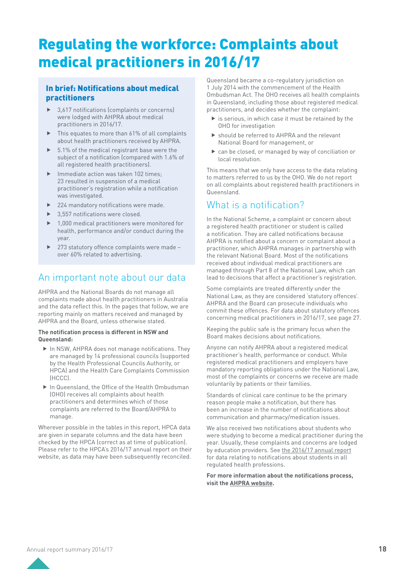# Regulating the workforce: Complaints about medical practitioners in 2016/17

### In brief: Notifications about medical practitioners

- $\blacktriangleright$  3,617 notifications (complaints or concerns) were lodged with AHPRA about medical practitioners in 2016/17.
- This equates to more than 61% of all complaints about health practitioners received by AHPRA.
- f 5.1% of the medical registrant base were the subject of a notification (compared with 1.6% of all registered health practitioners).
- Immediate action was taken 102 times; 23 resulted in suspension of a medical practitioner's registration while a notification was investigated.
- 224 mandatory notifications were made.
- 3.557 notifications were closed.
- 1,000 medical practitioners were monitored for health, performance and/or conduct during the year.
- 273 statutory offence complaints were made over 60% related to advertising.

## An important note about our data

AHPRA and the National Boards do not manage all complaints made about health practitioners in Australia and the data reflect this. In the pages that follow, we are reporting mainly on matters received and managed by AHPRA and the Board, unless otherwise stated.

#### **The notification process is different in NSW and Queensland:**

- $\blacktriangleright$  In NSW, AHPRA does not manage notifications. They are managed by 14 professional councils (supported by the Health Professional Councils Authority, or HPCA) and the Health Care Complaints Commission (HCCC).
- ▶ In Queensland, the Office of the Health Ombudsman (OHO) receives all complaints about health practitioners and determines which of those complaints are referred to the Board/AHPRA to manage.

Wherever possible in the tables in this report, HPCA data are given in separate columns and the data have been checked by the HPCA (correct as at time of publication). Please refer to the HPCA's 2016/17 annual report on their website, as data may have been subsequently reconciled.

Queensland became a co-regulatory jurisdiction on 1 July 2014 with the commencement of the Health Ombudsman Act. The OHO receives all health complaints in Queensland, including those about registered medical practitioners, and decides whether the complaint:

- $\blacktriangleright$  is serious, in which case it must be retained by the OHO for investigation
- $\triangleright$  should be referred to AHPRA and the relevant National Board for management, or
- $\triangleright$  can be closed, or managed by way of conciliation or local resolution.

This means that we only have access to the data relating to matters referred to us by the OHO. We do not report on all complaints about registered health practitioners in Queensland.

### What is a notification?

In the National Scheme, a complaint or concern about a registered health practitioner or student is called a notification. They are called notifications because AHPRA is notified about a concern or complaint about a practitioner, which AHPRA manages in partnership with the relevant National Board. Most of the notifications received about individual medical practitioners are managed through Part 8 of the National Law, which can lead to decisions that affect a practitioner's registration.

Some complaints are treated differently under the National Law, as they are considered 'statutory offences'. AHPRA and the Board can prosecute individuals who commit these offences. For data about statutory offences concerning medical practitioners in 2016/17, see page 27.

Keeping the public safe is the primary focus when the Board makes decisions about notifications.

Anyone can notify AHPRA about a registered medical practitioner's health, performance or conduct. While registered medical practitioners and employers have mandatory reporting obligations under the National Law, most of the complaints or concerns we receive are made voluntarily by patients or their families.

Standards of clinical care continue to be the primary reason people make a notification, but there has been an increase in the number of notifications about communication and pharmacy/medication issues.

We also received two notifications about students who were studying to become a medical practitioner during the year. Usually, these complaints and concerns are lodged by education providers. See [the 2016/17 annual report](http://www.ahpra.gov.au/annualreport/2017/) for data relating to notifications about students in all regulated health professions.

**For more information about the notifications process, visit [the AHPRA website.](http://www.ahpra.gov.au/notifications.aspx)**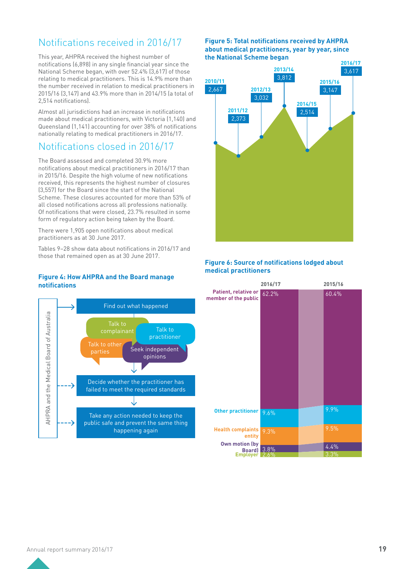## Notifications received in 2016/17

This year, AHPRA received the highest number of notifications (6,898) in any single financial year since the National Scheme began, with over 52.4% (3,617) of those relating to medical practitioners. This is 14.9% more than the number received in relation to medical practitioners in 2015/16 (3,147) and 43.9% more than in 2014/15 (a total of 2,514 notifications).

Almost all jurisdictions had an increase in notifications made about medical practitioners, with Victoria (1,140) and Queensland (1,141) accounting for over 38% of notifications nationally relating to medical practitioners in 2016/17.

### Notifications closed in 2016/17

The Board assessed and completed 30.9% more notifications about medical practitioners in 2016/17 than in 2015/16. Despite the high volume of new notifications received, this represents the highest number of closures (3,557) for the Board since the start of the National Scheme. These closures accounted for more than 53% of all closed notifications across all professions nationally. Of notifications that were closed, 23.7% resulted in some form of regulatory action being taken by the Board.

There were 1,905 open notifications about medical practitioners as at 30 June 2017.

Tables 9–28 show data about notifications in 2016/17 and those that remained open as at 30 June 2017.

#### **Figure 4: How AHPRA and the Board manage notifications**



#### **Figure 5: Total notifications received by AHPRA about medical practitioners, year by year, since the National Scheme began**



#### **Figure 6: Source of notifications lodged about medical practitioners**

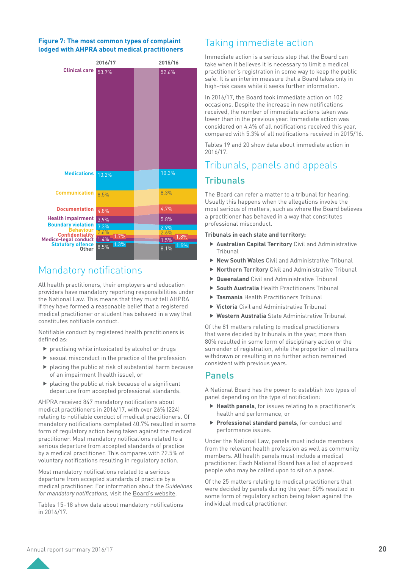#### **Figure 7: The most common types of complaint lodged with AHPRA about medical practitioners**



## Mandatory notifications

All health practitioners, their employers and education providers have mandatory reporting responsibilities under the National Law. This means that they must tell AHPRA if they have formed a reasonable belief that a registered medical practitioner or student has behaved in a way that constitutes notifiable conduct.

Notifiable conduct by registered health practitioners is defined as:

- $\blacktriangleright$  practising while intoxicated by alcohol or drugs
- $\blacktriangleright$  sexual misconduct in the practice of the profession
- $\blacktriangleright$  placing the public at risk of substantial harm because of an impairment (health issue), or
- $\blacktriangleright$  placing the public at risk because of a significant departure from accepted professional standards.

AHPRA received 847 mandatory notifications about medical practitioners in 2016/17, with over 26% (224) relating to notifiable conduct of medical practitioners. Of mandatory notifications completed 40.7% resulted in some form of regulatory action being taken against the medical practitioner. Most mandatory notifications related to a serious departure from accepted standards of practice by a medical practitioner. This compares with 22.5% of voluntary notifications resulting in regulatory action.

Most mandatory notifications related to a serious departure from accepted standards of practice by a medical practitioner. For information about the *Guidelines for mandatory notifications,* visit [the Board's website.](http://www.medicalboard.gov.au/Codes-Guidelines-Policies/Guidelines-for-mandatory-notifications.aspx)

Tables 15–18 show data about mandatory notifications in 2016/17.

### Taking immediate action

Immediate action is a serious step that the Board can take when it believes it is necessary to limit a medical practitioner's registration in some way to keep the public safe. It is an interim measure that a Board takes only in high-risk cases while it seeks further information.

In 2016/17, the Board took immediate action on 102 occasions. Despite the increase in new notifications received, the number of immediate actions taken was lower than in the previous year. Immediate action was considered on 4.4% of all notifications received this year, compared with 5.3% of all notifications received in 2015/16.

Tables 19 and 20 show data about immediate action in 2016/17.

### Tribunals, panels and appeals

### **Tribunals**

The Board can refer a matter to a tribunal for hearing. Usually this happens when the allegations involve the most serious of matters, such as where the Board believes a practitioner has behaved in a way that constitutes professional misconduct.

#### **Tribunals in each state and territory:**

- **Australian Capital Territory** Civil and Administrative Tribunal
- **F** New South Wales Civil and Administrative Tribunal
- ▶ **Northern Territory** Civil and Administrative Tribunal
- ▶ **Queensland** Civil and Administrative Tribunal
- **South Australia** Health Practitioners Tribunal
- **Fasmania** Health Practitioners Tribunal
- ▶ Victoria Civil and Administrative Tribunal
- ▶ Western Australia State Administrative Tribunal

Of the 81 matters relating to medical practitioners that were decided by tribunals in the year, more than 80% resulted in some form of disciplinary action or the surrender of registration, while the proportion of matters withdrawn or resulting in no further action remained consistent with previous years.

### Panels

A National Board has the power to establish two types of panel depending on the type of notification:

- **Figure Health panels**, for issues relating to a practitioner's health and performance, or
- **Professional standard panels**, for conduct and performance issues.

Under the National Law, panels must include members from the relevant health profession as well as community members. All health panels must include a medical practitioner. Each National Board has a list of approved people who may be called upon to sit on a panel.

Of the 25 matters relating to medical practitioners that were decided by panels during the year, 80% resulted in some form of regulatory action being taken against the individual medical practitioner.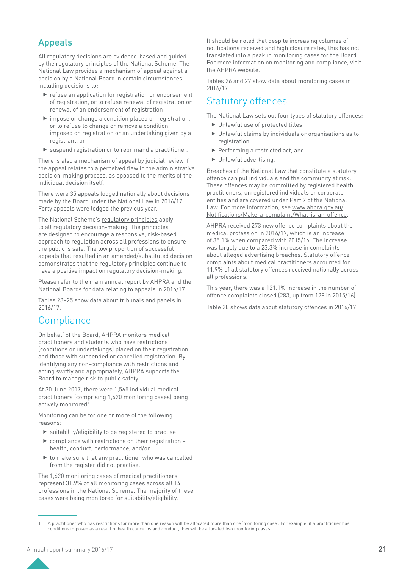### Appeals

All regulatory decisions are evidence-based and guided by the regulatory principles of the National Scheme. The National Law provides a mechanism of appeal against a decision by a National Board in certain circumstances, including decisions to:

- $\blacktriangleright$  refuse an application for registration or endorsement of registration, or to refuse renewal of registration or renewal of an endorsement of registration
- $\blacktriangleright$  impose or change a condition placed on registration, or to refuse to change or remove a condition imposed on registration or an undertaking given by a registrant, or
- $\blacktriangleright$  suspend registration or to reprimand a practitioner.

There is also a mechanism of appeal by judicial review if the appeal relates to a perceived flaw in the administrative decision-making process, as opposed to the merits of the individual decision itself.

There were 35 appeals lodged nationally about decisions made by the Board under the National Law in 2016/17. Forty appeals were lodged the previous year.

The National Scheme's [regulatory principles](https://www.ahpra.gov.au/About-AHPRA/Regulatory-principles.aspx) apply to all regulatory decision-making. The principles are designed to encourage a responsive, risk-based approach to regulation across all professions to ensure the public is safe. The low proportion of successful appeals that resulted in an amended/substituted decision demonstrates that the regulatory principles continue to have a positive impact on regulatory decision-making.

Please refer to [the main annual report](http://www.ahpra.gov.au/annualreport/2017) by AHPRA and the National Boards for data relating to appeals in 2016/17.

Tables 23–25 show data about tribunals and panels in 2016/17.

## **Compliance**

On behalf of the Board, AHPRA monitors medical practitioners and students who have restrictions (conditions or undertakings) placed on their registration, and those with suspended or cancelled registration. By identifying any non-compliance with restrictions and acting swiftly and appropriately, AHPRA supports the Board to manage risk to public safety.

At 30 June 2017, there were 1,565 individual medical practitioners (comprising 1,620 monitoring cases) being actively monitored<sup>1</sup>.

Monitoring can be for one or more of the following reasons:

- $\blacktriangleright$  suitability/eligibility to be registered to practise
- $\triangleright$  compliance with restrictions on their registration health, conduct, performance, and/or
- $\blacktriangleright$  to make sure that any practitioner who was cancelled from the register did not practise.

The 1,620 monitoring cases of medical practitioners represent 31.9% of all monitoring cases across all 14 professions in the National Scheme. The majority of these cases were being monitored for suitability/eligibility.

It should be noted that despite increasing volumes of notifications received and high closure rates, this has not translated into a peak in monitoring cases for the Board. For more information on monitoring and compliance, visit [the AHPRA website.](http://www.ahpra.gov.au/Registration/Monitoring-and-compliance.aspx)

Tables 26 and 27 show data about monitoring cases in 2016/17.

## Statutory offences

The National Law sets out four types of statutory offences:

- $\blacktriangleright$  Unlawful use of protected titles
- $\blacktriangleright$  Unlawful claims by individuals or organisations as to registration
- $\blacktriangleright$  Performing a restricted act, and
- $\blacktriangleright$  Unlawful advertising.

Breaches of the National Law that constitute a statutory offence can put individuals and the community at risk. These offences may be committed by registered health practitioners, unregistered individuals or corporate entities and are covered under Part 7 of the National Law. For more information, see [www.ahpra.gov.au/](http://www.ahpra.gov.au/Notifications/Make-a-complaint/What-is-an-offence) [Notifications/Make-a-complaint/What-is-an-offence.](http://www.ahpra.gov.au/Notifications/Make-a-complaint/What-is-an-offence)

AHPRA received 273 new offence complaints about the medical profession in 2016/17, which is an increase of 35.1% when compared with 2015/16. The increase was largely due to a 23.3% increase in complaints about alleged advertising breaches. Statutory offence complaints about medical practitioners accounted for 11.9% of all statutory offences received nationally across all professions.

This year, there was a 121.1% increase in the number of offence complaints closed (283, up from 128 in 2015/16).

Table 28 shows data about statutory offences in 2016/17.

<sup>1</sup> A practitioner who has restrictions for more than one reason will be allocated more than one 'monitoring case'. For example, if a practitioner has conditions imposed as a result of health concerns and conduct, they will be allocated two monitoring cases.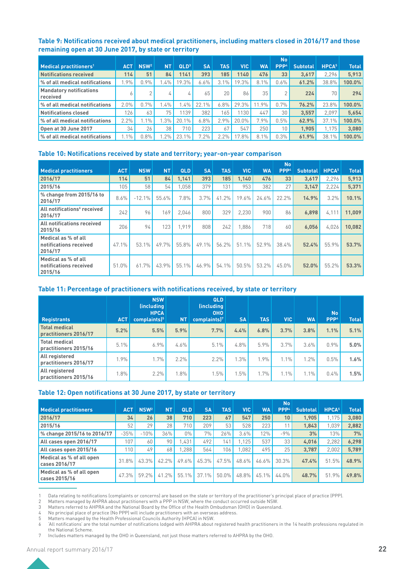#### **Table 9: Notifications received about medical practitioners, including matters closed in 2016/17 and those remaining open at 30 June 2017, by state or territory**

|                                                   |            |                  |           |                  |              |            |          |           | <b>No</b>        |                 |                   |              |
|---------------------------------------------------|------------|------------------|-----------|------------------|--------------|------------|----------|-----------|------------------|-----------------|-------------------|--------------|
| $\blacksquare$ Medical practitioners <sup>1</sup> | <b>ACT</b> | NSW <sup>2</sup> | <b>NT</b> | QLD <sup>3</sup> | <b>SA</b>    | <b>TAS</b> | VIC.     | <b>WA</b> | PPP <sup>4</sup> | <b>Subtotal</b> | HPCA <sup>5</sup> | <b>Total</b> |
| <b>Notifications received</b>                     | 114        | 51               | 84        | 1141             | 393          | 185        | 1140     | 476       | 33               | 3.617           | 2.296             | 5,913        |
| % of all medical notifications                    | $.9\%$     | 0.9%             | $.4\%$    | 19.3%            | 6.6%         | 3.1%       | 19.3%    | 8.1%      | 0.6%             | 61.2%           | 38.8%             | 100.0%       |
| <b>Mandatory notifications</b><br>received        |            | $\sim$           | 4         | 厶                | 65           | 20         | 86       | 35        |                  | 224             | 70                | 294          |
| % of all medical notifications                    | 2.0%       | 0.7%             | $.4\%$    | 1.4%             | 22.<br>$1\%$ | $6.8\%$    | $29.3\%$ | 1.9%      | 0.7%             | 76.2%           | 23.8%             | 100.0%       |
| <b>Notifications closed</b>                       | 126.       | 63               | 75.       | 1139             | 382          | 65         | 130      | 447       | 30               | 3.557           | 2.097             | 5,654        |
| % of all medical notifications                    | 2.2%       | 1.1%             | $.3\%$    | 20.1%            | 6.8%         | 2.9%       | $20.0\%$ | 7.9%      | 0.5%             | 62.9%           | 37.1%             | 100.0%       |
| Open at 30 June 2017                              | 34         | 26               | 38        | 710              | 223          | 67         | 547      | 250       | 10               | 1.905           | 1,175             | 3,080        |
| % of all medical notifications                    | $.1\%$     | 0.8%             | $.2\%$    | 23.1%            | $7.2\%$      | 2.2%       | 7.8%     | 8.1%      | 0.3%             | 61.9%           | 38.1%             | 100.0%       |

#### **Table 10: Notifications received by state and territory; year-on-year comparison**

| <b>Medical practitioners</b>                             | <b>ACT</b> | <b>NSW</b> | <b>NT</b> | <b>QLD</b> | <b>SA</b> | <b>TAS</b> | <b>VIC</b> | <b>WA</b> | <b>No</b><br>PPP <sup>4</sup> | <b>Subtotal</b> | HPCA <sup>5</sup> | <b>Total</b> |
|----------------------------------------------------------|------------|------------|-----------|------------|-----------|------------|------------|-----------|-------------------------------|-----------------|-------------------|--------------|
| 2016/17                                                  | 114        | 51         | 84        | 1,141      | 393       | 185        | 1,140      | 476       | 33                            | 3,617           | 2,296             | 5,913        |
| 2015/16                                                  | 105        | 58         | 54        | .058       | 379       | 131        | 953        | 382       | 27                            | 3,147           | 2,224             | 5,371        |
| % change from 2015/16 to<br>2016/17                      | 8.6%       | $-12.1%$   | 55.6%     | 7.8%       | 3.7%      | 41.2%      | 19.6%      | 24.6%     | 22.2%                         | 14.9%           | 3.2%              | 10.1%        |
| All notifications <sup>6</sup> received<br>2016/17       | 242        | 96         | 169       | 2.046      | 800       | 329        | 2.230      | 900       | 86                            | 6,898           | 4.111             | 11.009       |
| All notifications received<br>2015/16                    | 206        | 94         | 123       | .919       | 808       | 242        | .886       | 718       | 60                            | 6.056           | 4.026             | 10.082       |
| Medical as % of all<br>notifications received<br>2016/17 | 47.1%      | 53.1%      | $49.7\%$  | 55.8%      | 49.1%     | 56.2%      | 51.1%      | 52.9%     | 38.4%                         | 52.4%           | 55.9%             | 53.7%        |
| Medical as % of all<br>notifications received<br>2015/16 | 51.0%      | 61.7%      | 43.9%     | 55.1%      | 46.9%     | 54.1%      | 50.5%      | 53.2%     | 45.0%                         | 52.0%           | 55.2%             | 53.3%        |

#### **Table 11: Percentage of practitioners with notifications received, by state or territory**

| <b>Registrants</b>                            | <b>ACT</b> | <b>NSW</b><br><i><u><b>(including)</b></u></i><br><b>HPCA</b><br>complaints) <sup>5</sup> | <b>NT</b> | QLD<br>(including)<br><b>OHO</b><br>complaints) $7$ | <b>SA</b> | <b>TAS</b> | <b>VIC</b> | <b>WA</b> | <b>No</b><br>PPP <sup>4</sup> | <b>Total</b> |
|-----------------------------------------------|------------|-------------------------------------------------------------------------------------------|-----------|-----------------------------------------------------|-----------|------------|------------|-----------|-------------------------------|--------------|
| Total medical<br>practitioners 2016/17        | 5.2%       | 5.5%                                                                                      | 5.9%      | 7.7%                                                | 4.4%      | 6.8%       | 3.7%       | 3.8%      | 1.1%                          | 5.1%         |
| <b>Total medical</b><br>practitioners 2015/16 | 5.1%       | 6.9%                                                                                      | $4.6\%$   | $5.1\%$                                             | $4.8\%$   | 5.9%       | 3.7%       | 3.6%      | 0.9%                          | 5.0%         |
| All registered<br>practitioners 2016/17       | 1.9%       | 1.7%                                                                                      | 2.2%      | 2.2%                                                | .3%       | 1.9%       | 1.1%       | 1.2%      | 0.5%                          | 1.6%         |
| All registered<br>practitioners 2015/16       | 1.8%       | 2.2%                                                                                      | 1.8%      | 1.5%                                                | .5%       | 1.7%       | 1.1%       | 1.1%      | $0.4\%$                       | 1.5%         |

#### **Table 12: Open notifications at 30 June 2017, by state or territory**

|                                           |            |                  |           |            |           |            |            |           | <b>No</b>        |                 |                   |              |
|-------------------------------------------|------------|------------------|-----------|------------|-----------|------------|------------|-----------|------------------|-----------------|-------------------|--------------|
| <b>Medical practitioners</b>              | <b>ACT</b> | NSW <sup>2</sup> | <b>NT</b> | <b>QLD</b> | <b>SA</b> | <b>TAS</b> | <b>VIC</b> | <b>WA</b> | PPP <sup>4</sup> | <b>Subtotal</b> | HPCA <sup>5</sup> | <b>Total</b> |
| 2016/17                                   | 34         | 26               | 38        | 710        | 223       | 67         | 547        | 250       | 10               | 1.905           | 1.175             | 3,080        |
| 2015/16                                   | 52         | 29               | 28        | 710        | 209       | 53         | 528        | 223       |                  | 1.843           | 1,039             | 2,882        |
| % change 2015/16 to 2016/17               | $-35%$     | $-10%$           | 36%       | $0\%$      | 7%        | 26%        | 3.6%       | 12%.      | $-9%$            | 3%              | 13%               | 7%           |
| All cases open 2016/17                    | 107        | 60               | 90        | 1.431      | 492       | 141        | 1.125      | 537       | 33               | 4.016           | 2,282             | 6,298        |
| All cases open 2015/16                    | 110        | 49               | 68        | .288       | 564       | 106        | .082       | 495       | 251              | 3.787           | 2.002             | 5,789        |
| Medical as % of all open<br>cases 2016/17 | 31.8%      | 43.3%            | 42.2%     | $49.6\%$   | 45.3%     | $47.5\%$   | 48.6%      | 46.6%     | 30.3%            | 47.4%           | 51.5%             | 48.9%        |
| Medical as % of all open<br>cases 2015/16 | 47.3%      | 59.2%            | 41.2%     | 55.1%      | 37.1%     | 50.0%      | 48.8%      | 45.1%     | 44.0%            | 48.7%           | 51.9%             | 49.8%        |

1 Data relating to notifications (complaints or concerns) are based on the state or territory of the practitioner's principal place of practice (PPP).

2 Matters managed by AHPRA about practitioners with a PPP in NSW, where the conduct occurred outside NSW.

3 Matters referred to AHPRA and the National Board by the Office of the Health Ombudsman (OHO) in Queensland.

4 No principal place of practice (No PPP) will include practitioners with an overseas address.

5 Matters managed by the Health Professional Councils Authority (HPCA) in NSW.

6 'All notifications' are the total number of notifications lodged with AHPRA about registered health practitioners in the 14 health professions regulated in the National Scheme.

7 Includes matters managed by the OHO in Queensland, not just those matters referred to AHPRA by the OHO.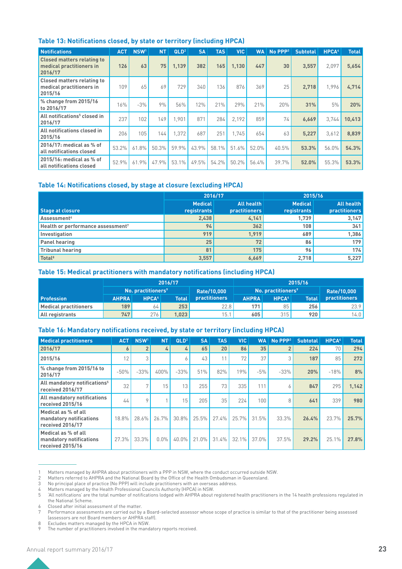|  |  | Table 13: Notifications closed, by state or territory (including HPCA) |
|--|--|------------------------------------------------------------------------|
|--|--|------------------------------------------------------------------------|

| <b>Notifications</b>                                                     | <b>ACT</b> | NSW <sup>1</sup> | <b>NT</b> | QLD <sup>2</sup> | <b>SA</b> | <b>TAS</b> | <b>VIC</b> | <b>WA</b> | $No$ PPP $3$ | <b>Subtotal</b> | HPCA <sup>4</sup> | <b>Total</b> |
|--------------------------------------------------------------------------|------------|------------------|-----------|------------------|-----------|------------|------------|-----------|--------------|-----------------|-------------------|--------------|
| <b>Closed matters relating to</b><br>medical practitioners in<br>2016/17 | 126        | 63               | 75        | 1.139            | 382       | 165        | 1.130      | 447       | 30           | 3.557           | 2.097             | 5,654        |
| <b>Closed matters relating to</b><br>medical practitioners in<br>2015/16 | 109        | 65               | 69        | 729              | 340       | 136        | 876        | 369       | 25           | 2.718           | 1.996             | 4,714        |
| % change from 2015/16<br>to 2016/17                                      | 16%        | $-3%$            | 9%        | 56%              | 12%       | 21%        | 29%        | 21%       | 20%          | 31%             | 5%                | 20%          |
| All notifications <sup>5</sup> closed in<br>2016/17                      | 237        | 102              | 149       | 1.901            | 871       | 284        | 2.192      | 859       | 74           | 6.669           | 3.744             | 10.413       |
| All notifications closed in<br>2015/16                                   | 206        | 105              | 144       | 1.372            | 687       | 251        | 1.745      | 654       | 63           | 5,227           | 3,612             | 8,839        |
| 2016/17: medical as % of<br>all notifications closed                     | 53.2%      | 61.8%            | 50.3%     | 59.9%            | 43.9%     | 58.1%      | 51.6%      | 52.0%     | 40.5%        | 53.3%           | 56.0%             | 54.3%        |
| 2015/16: medical as % of<br>all notifications closed                     | 52.9%      | 61.9%            | 47.9%     | 53.1%            | 49.5%     | 54.2%      | 50.2%      | 56.4%     | 39.7%        | 52.0%           | 55.3%             | 53.3%        |

#### **Table 14: Notifications closed, by stage at closure (excluding HPCA)**

|                                               |                               | 2016/17                            | 2015/16                       |                                    |  |  |
|-----------------------------------------------|-------------------------------|------------------------------------|-------------------------------|------------------------------------|--|--|
| Stage at closure                              | <b>Medical</b><br>registrants | All health<br><b>practitioners</b> | <b>Medical</b><br>registrants | All health<br><b>practitioners</b> |  |  |
| Assessment <sup>6</sup>                       | 2,438                         | 4,141                              | 1,739                         | 3,147                              |  |  |
| Health or performance assessment <sup>7</sup> | 94                            | 362                                | 108                           | 341                                |  |  |
| Investigation                                 | 919                           | 1,919                              | 689                           | 1,386                              |  |  |
| <b>Panel hearing</b>                          | 25                            | 72                                 | 86                            | 179                                |  |  |
| <b>Tribunal hearing</b>                       | 81                            | 175                                | 96                            | 174                                |  |  |
| Total <sup>8</sup>                            | 3,557                         | 6,669                              | 2,718                         | 5,227                              |  |  |

#### **Table 15: Medical practitioners with mandatory notifications (including HPCA)**

|                              |                                                   |                                | 2016/17              |                                              |     |                                          | 2015/16              |             |
|------------------------------|---------------------------------------------------|--------------------------------|----------------------|----------------------------------------------|-----|------------------------------------------|----------------------|-------------|
|                              |                                                   | No. practitioners <sup>9</sup> |                      | Rate/10.000                                  |     | $^{\prime}$ No. practitioners $^{\circ}$ |                      | Rate/10.000 |
| <b>Profession</b>            | HPCA <sup>4</sup><br><b>Total</b><br><b>AHPRA</b> |                                | <b>practitioners</b> | <b>HPCA4</b><br><b>AHPRA</b><br><b>Total</b> |     |                                          | <b>practitioners</b> |             |
| <b>Medical practitioners</b> | 189                                               | 64                             | 253                  | 22.8                                         | 171 | 85                                       | 256                  | 23.9        |
| All registrants              | 276<br>747<br>1,023                               |                                | 15.1                 | 315<br>605                                   |     | 920                                      | 14.0                 |             |

#### **Table 16: Mandatory notifications received, by state or territory (including HPCA)**

| <b>Medical practitioners</b>                                       | ACT <sub>1</sub> | NSW <sup>1</sup> | <b>NT</b> | QLD <sup>2</sup> | <b>SA</b> | <b>TAS</b> | <b>VIC</b> | <b>WA</b> | $No$ PPP $3$   | <b>Subtotal</b> | HPCA <sup>4</sup> | <b>Total</b> |
|--------------------------------------------------------------------|------------------|------------------|-----------|------------------|-----------|------------|------------|-----------|----------------|-----------------|-------------------|--------------|
| 2016/17                                                            | 6                | $\overline{2}$   | 4         | 4                | 65        | 20         | 86         | 35        | $\overline{2}$ | 224             | 70                | 294          |
| 2015/16                                                            | 12               | 3                |           | 6                | 43        |            | 72         | 37        | 3              | 187             | 85                | 272          |
| % change from 2015/16 to<br>2016/17                                | $-50%$           | $-33%$           | 400%      | $-33%$           | 51%       | 82%        | 19%        | $-5%$     | $-33%$         | 20%             | $-18%$            | 8%           |
| All mandatory notifications <sup>5</sup><br>received 2016/17       | 32               | 7                | 15        | 13               | 255       | 73         | 335        | 111       | 6              | 847             | 295               | 1.142        |
| All mandatory notifications<br>received 2015/16                    | 44               | 9                |           | 15 <sub>1</sub>  | 205       | 35         | 224        | 100       | 8              | 641             | 339               | 980          |
| Medical as % of all<br>mandatory notifications<br>received 2016/17 | 18.8%            | $28.6\%$         | 26.7%     | $30.8\%$         | 25.5%     | $27.4\%$   | 25.7%      | 31.5%     | 33.3%          | 26.4%           | 23.7%             | 25.7%        |
| Medical as % of all<br>mandatory notifications<br>received 2015/16 | 27.3%            | 33.3%            | $0.0\%$   | 40.0%            | 21.0%     | 31.4%      | 32.1%      | 37.0%     | 37.5%          | 29.2%           | 25.1%             | 27.8%        |

1 Matters managed by AHPRA about practitioners with a PPP in NSW, where the conduct occurred outside NSW.<br>2 Matters referred to AHPRA and the National Board by the Office of the Health Ombudsman in Queensland.

2 Matters referred to AHPRA and the National Board by the Office of the Health Ombudsman in Queensland.<br>3 No principal place of practice (No PPP) will include practitioners with an overseas address.

No principal place of practice (No PPP) will include practitioners with an overseas address.

4 Matters managed by the Health Professional Councils Authority (HPCA) in NSW.

5 'All notifications' are the total number of notifications lodged with AHPRA about registered health practitioners in the 14 health professions regulated in the National Scheme.

6 Closed after initial assessment of the matter.

8 Excludes matters managed by the HPCA in NSW.

The number of practitioners involved in the mandatory reports received.

Performance assessments are carried out by a Board-selected assessor whose scope of practice is similar to that of the practitioner being assessed (assessors are not Board members or AHPRA staff).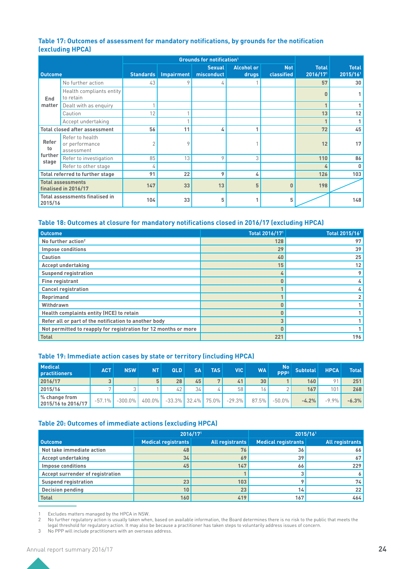#### **Table 17: Outcomes of assessment for mandatory notifications, by grounds for the notification (excluding HPCA)**

|                                                  |                                                 |           | <b>Grounds for notification<sup>1</sup></b> |                             |                            |                          |                          |                          |
|--------------------------------------------------|-------------------------------------------------|-----------|---------------------------------------------|-----------------------------|----------------------------|--------------------------|--------------------------|--------------------------|
| <b>Outcome</b>                                   |                                                 | Standards | Impairment                                  | <b>Sexual</b><br>misconduct | <b>Alcohol or</b><br>drugs | <b>Not</b><br>classified | <b>Total</b><br>2016/171 | <b>Total</b><br>2015/161 |
|                                                  | No further action                               | 43        | 9                                           | 4                           |                            |                          | 57                       | 30                       |
| End                                              | Health compliants entity<br>to retain           |           |                                             |                             |                            |                          | 0                        |                          |
| matter                                           | Dealt with as enquiry                           |           |                                             |                             |                            |                          | $\mathbf{1}$             |                          |
|                                                  | Caution                                         | 12        |                                             |                             |                            |                          | 13                       | 12                       |
|                                                  | Accept undertaking                              |           |                                             |                             |                            |                          | $\mathbf{1}$             |                          |
| Total closed after assessment                    |                                                 | 56        | 11                                          | 4                           | A.                         |                          | 72                       | 45                       |
| Refer<br>to                                      | Refer to health<br>or performance<br>assessment | 2         | 9                                           |                             |                            |                          | 12                       | 17 <sup>1</sup>          |
| further<br>stage                                 | Refer to investigation                          | 85        | 13                                          | 9                           | 3                          |                          | 110                      | 86                       |
|                                                  | Refer to other stage                            | 4         |                                             |                             |                            |                          | 4                        | 0                        |
|                                                  | Total referred to further stage                 | 91        | 22                                          | 9                           | 4                          |                          | 126                      | 103                      |
| <b>Total assessments</b><br>finalised in 2016/17 |                                                 | 147       | 33                                          | 13                          | 5                          | $\bf{0}$                 | 198                      |                          |
| <b>Total assessments finalised in</b><br>2015/16 |                                                 | 104       | 33                                          | 5                           |                            | 5                        |                          | 148                      |

#### **Table 18: Outcomes at closure for mandatory notifications closed in 2016/17 (excluding HPCA)**

| <b>Outcome</b>                                                  | Total 2016/17 <sup>1</sup> | Total 2015/16 <sup>1</sup> |
|-----------------------------------------------------------------|----------------------------|----------------------------|
| No further action <sup>2</sup>                                  | 128                        | 97                         |
| <b>Impose conditions</b>                                        | 29                         | 39                         |
| <b>Caution</b>                                                  | 40                         | 25                         |
| <b>Accept undertaking</b>                                       | 15                         | 12                         |
| <b>Suspend registration</b>                                     | 4                          | 9                          |
| <b>Fine registrant</b>                                          | 0                          | 4                          |
| <b>Cancel registration</b>                                      |                            | 4                          |
| Reprimand                                                       |                            | $\overline{2}$             |
| Withdrawn                                                       | n                          |                            |
| Health complaints entity (HCE) to retain                        | 0                          |                            |
| Refer all or part of the notification to another body           | 3                          |                            |
| Not permitted to reapply for registration for 12 months or more | $\bf{0}$                   |                            |
| <b>Total</b>                                                    | 221                        | 196                        |

#### **Table 19: Immediate action cases by state or territory (including HPCA)**

| <b>Medical</b><br><b>practitioners</b> | <b>ACT</b> | <b>NSW</b> | <b>NT</b> | QLD.                  | <b>SA</b> | <b>TAS</b> | <b>VIC</b> | <b>WA</b>       | No.<br>DDD3 | <b>Subtotal</b> | <b>HPCA</b>    | <b>Total</b> |
|----------------------------------------|------------|------------|-----------|-----------------------|-----------|------------|------------|-----------------|-------------|-----------------|----------------|--------------|
| 2016/17                                | 3          |            |           | 28                    | 45        |            | 41         | 30 <sub>2</sub> |             | 160             | O <sub>1</sub> | 251          |
| 2015/16                                |            |            |           | 42                    | 34        |            | 58         | 16.             |             | 167             | 101            | 268          |
| % change from<br>2015/16 to 2016/17    | $-57.1%$   | $-300.0\%$ | $400.0\%$ | $-33.3\%$ 32.4% 75.0% |           |            | $-29.3\%$  | 87.5%           | $-50.0\%$   | $-4.2%$         | $-9.9\%$       | $-6.3%$      |

#### **Table 20: Outcomes of immediate actions (excluding HPCA)**

|                                  | 2016/171                   |                        | 2015/161                   |                        |  |  |  |
|----------------------------------|----------------------------|------------------------|----------------------------|------------------------|--|--|--|
| Outcome                          | <b>Medical registrants</b> | <b>All registrants</b> | <b>Medical registrants</b> | <b>All registrants</b> |  |  |  |
| Not take immediate action        | 48                         | 76                     | 36                         | 66                     |  |  |  |
| Accept undertaking               | 34                         | 69                     | 39                         | 67 <sup>1</sup>        |  |  |  |
| <b>Impose conditions</b>         | 45                         | 147                    | 66                         | 229                    |  |  |  |
| Accept surrender of registration |                            |                        |                            |                        |  |  |  |
| <b>Suspend registration</b>      | 23                         | 103                    |                            | 74                     |  |  |  |
| <b>Decision pending</b>          | 10 <sup>°</sup>            | 23                     | 14                         | 22                     |  |  |  |
| <b>Total</b>                     | 160                        | 419                    | 167                        | 464                    |  |  |  |

1 Excludes matters managed by the HPCA in NSW.

2 No further regulatory action is usually taken when, based on available information, the Board determines there is no risk to the public that meets the legal threshold for regulatory action. It may also be because a practitioner has taken steps to voluntarily address issues of concern.

3 No PPP will include practitioners with an overseas address.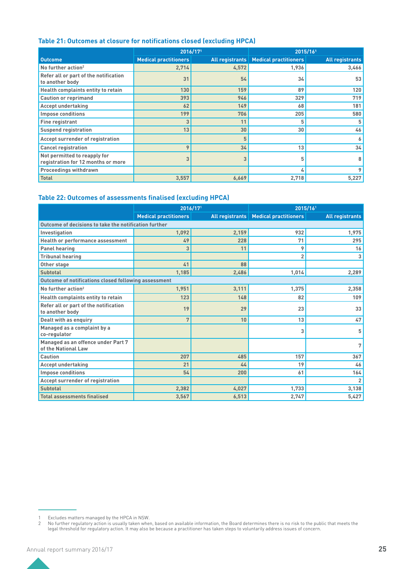#### **Table 21: Outcomes at closure for notifications closed (excluding HPCA)**

|                                                                    | 2016/171                     |       | 2015/161                                |                        |
|--------------------------------------------------------------------|------------------------------|-------|-----------------------------------------|------------------------|
| <b>Outcome</b>                                                     | <b>Medical practitioners</b> |       | All registrants   Medical practitioners | <b>All registrants</b> |
| No further action <sup>2</sup>                                     | 2,714                        | 4,572 | 1,936                                   | 3,466                  |
| Refer all or part of the notification<br>to another body           | 31                           | 54    | 34                                      | 53                     |
| Health complaints entity to retain                                 | 130                          | 159   | 89                                      | 120                    |
| <b>Caution or reprimand</b>                                        | 393                          | 946   | 329                                     | 719                    |
| <b>Accept undertaking</b>                                          | 62                           | 149   | 68                                      | 181                    |
| <b>Impose conditions</b>                                           | 199                          | 706   | 205                                     | 580                    |
| <b>Fine registrant</b>                                             | 3                            | 11    | 5                                       | 5                      |
| <b>Suspend registration</b>                                        | 13                           | 30    | 30                                      | 46                     |
| Accept surrender of registration                                   |                              | 5     |                                         | 6                      |
| <b>Cancel registration</b>                                         | 9                            | 34    | 13                                      | 34                     |
| Not permitted to reapply for<br>registration for 12 months or more | 3                            |       | 5                                       | 8                      |
| <b>Proceedings withdrawn</b>                                       |                              |       | 4                                       | 9                      |
| <b>Total</b>                                                       | 3,557                        | 6,669 | 2,718                                   | 5,227                  |

### **Table 22: Outcomes of assessments finalised (excluding HPCA)**

|                                                           | 2016/171                     |       | 2015/161                                |                        |  |  |
|-----------------------------------------------------------|------------------------------|-------|-----------------------------------------|------------------------|--|--|
|                                                           | <b>Medical practitioners</b> |       | All registrants   Medical practitioners | <b>All registrants</b> |  |  |
| Outcome of decisions to take the notification further     |                              |       |                                         |                        |  |  |
| Investigation                                             | 1,092                        | 2,159 | 932                                     | 1,975                  |  |  |
| <b>Health or performance assessment</b>                   | 49                           | 228   | 71                                      | 295                    |  |  |
| <b>Panel hearing</b>                                      | 3                            | 11    | 9                                       | 16                     |  |  |
| <b>Tribunal hearing</b>                                   |                              |       | $\overline{2}$                          | 3                      |  |  |
| Other stage                                               | 41                           | 88    |                                         |                        |  |  |
| <b>Subtotal</b>                                           | 1,185                        | 2,486 | 1,014                                   | 2,289                  |  |  |
| Outcome of notifications closed following assessment      |                              |       |                                         |                        |  |  |
| No further action <sup>2</sup>                            | 1,951                        | 3,111 | 1,375                                   | 2,358                  |  |  |
| Health complaints entity to retain                        | 123                          | 148   | 82                                      | 109                    |  |  |
| Refer all or part of the notification<br>to another body  | 19                           | 29    | 23                                      | 33                     |  |  |
| Dealt with as enquiry                                     | 7                            | 10    | 13                                      | 47                     |  |  |
| Managed as a complaint by a<br>co-regulator               |                              |       | 3                                       | 5                      |  |  |
| Managed as an offence under Part 7<br>of the National Law |                              |       |                                         | 7                      |  |  |
| Caution                                                   | 207                          | 485   | 157                                     | 367                    |  |  |
| <b>Accept undertaking</b>                                 | 21                           | 44    | 19                                      | 46                     |  |  |
| <b>Impose conditions</b>                                  | 54                           | 200   | 61                                      | 164                    |  |  |
| Accept surrender of registration                          |                              |       |                                         | $\overline{2}$         |  |  |
| <b>Subtotal</b>                                           | 2,382                        | 4.027 | 1.733                                   | 3,138                  |  |  |
| <b>Total assessments finalised</b>                        | 3,567                        | 6,513 | 2.747                                   | 5,427                  |  |  |

<sup>1</sup> Excludes matters managed by the HPCA in NSW.

<sup>2</sup> No further regulatory action is usually taken when, based on available information, the Board determines there is no risk to the public that meets the legal threshold for regulatory action. It may also be because a practitioner has taken steps to voluntarily address issues of concern.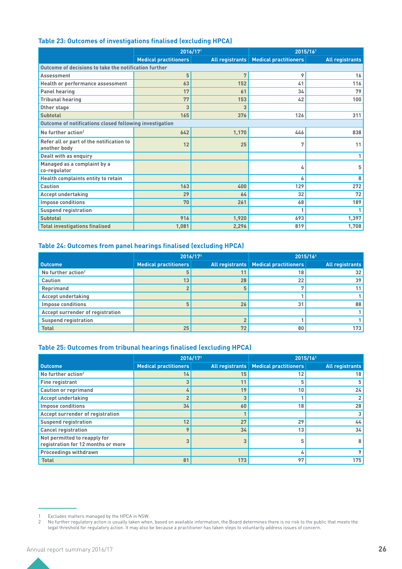### **Table 23: Outcomes of investigations finalised (excluding HPCA)**

|                                                          | 2016/171                     |       | 2015/161                                |                        |  |  |
|----------------------------------------------------------|------------------------------|-------|-----------------------------------------|------------------------|--|--|
|                                                          | <b>Medical practitioners</b> |       | All registrants   Medical practitioners | <b>All registrants</b> |  |  |
| Outcome of decisions to take the notification further    |                              |       |                                         |                        |  |  |
| Assessment                                               | 5                            | 7     | 9                                       | 16                     |  |  |
| <b>Health or performance assessment</b>                  | 63                           | 152   | 41                                      | 116                    |  |  |
| <b>Panel hearing</b>                                     | 17                           | 61    | 34                                      | 79                     |  |  |
| <b>Tribunal hearing</b>                                  | 77                           | 153   | 42                                      | 100                    |  |  |
| Other stage                                              | 3                            | 3     |                                         |                        |  |  |
| <b>Subtotal</b>                                          | 165                          | 376   | 126                                     | 311                    |  |  |
| Outcome of notifications closed following investigation  |                              |       |                                         |                        |  |  |
| No further action <sup>2</sup>                           | 642                          | 1,170 | 446                                     | 838                    |  |  |
| Refer all or part of the notification to<br>another body | 12                           | 25    | 7                                       | 11                     |  |  |
| Dealt with as enquiry                                    |                              |       |                                         |                        |  |  |
| Managed as a complaint by a<br>co-regulator              |                              |       | 4                                       | 5                      |  |  |
| Health complaints entity to retain                       |                              |       | 6                                       | 8                      |  |  |
| Caution                                                  | 163                          | 400   | 129                                     | 272                    |  |  |
| <b>Accept undertaking</b>                                | 29                           | 64    | 32                                      | 72                     |  |  |
| <b>Impose conditions</b>                                 | 70                           | 261   | 68                                      | 189                    |  |  |
| <b>Suspend registration</b>                              |                              |       | 1                                       |                        |  |  |
| <b>Subtotal</b>                                          | 916                          | 1,920 | 693                                     | 1,397                  |  |  |
| <b>Total investigations finalised</b>                    | 1,081                        | 2,296 | 819                                     | 1,708                  |  |  |

#### **Table 24: Outcomes from panel hearings finalised (excluding HPCA)**

|                                  | 2016/171                     |    | 2015/161                                |                        |  |  |
|----------------------------------|------------------------------|----|-----------------------------------------|------------------------|--|--|
| Outcome                          | <b>Medical practitioners</b> |    | All registrants   Medical practitioners | <b>All registrants</b> |  |  |
| No further action <sup>2</sup>   |                              |    | 18                                      | 32                     |  |  |
| <b>Caution</b>                   | 13                           | 28 | 22                                      | 39                     |  |  |
| Reprimand                        |                              |    |                                         | 11                     |  |  |
| <b>Accept undertaking</b>        |                              |    |                                         |                        |  |  |
| <b>Impose conditions</b>         | 5                            | 26 | 31                                      | 88                     |  |  |
| Accept surrender of registration |                              |    |                                         |                        |  |  |
| <b>Suspend registration</b>      |                              |    |                                         |                        |  |  |
| <b>Total</b>                     | 25                           | 72 | 80                                      | 173                    |  |  |

#### **Table 25: Outcomes from tribunal hearings finalised (excluding HPCA)**

|                                                                    | 2016/171                     |     |                                         | 2015/161               |  |  |  |  |  |  |  |
|--------------------------------------------------------------------|------------------------------|-----|-----------------------------------------|------------------------|--|--|--|--|--|--|--|
| <b>Outcome</b>                                                     | <b>Medical practitioners</b> |     | All registrants   Medical practitioners | <b>All registrants</b> |  |  |  |  |  |  |  |
| No further action <sup>2</sup>                                     | 14                           | 15  | 12                                      | 18                     |  |  |  |  |  |  |  |
| <b>Fine registrant</b>                                             | 3                            | 11  | 5                                       | 5                      |  |  |  |  |  |  |  |
| <b>Caution or reprimand</b>                                        | 4                            | 19  | 10                                      | 24                     |  |  |  |  |  |  |  |
| <b>Accept undertaking</b>                                          | $\overline{2}$               |     |                                         | $\overline{2}$         |  |  |  |  |  |  |  |
| <b>Impose conditions</b>                                           | 34                           | 60  | 18                                      | 28                     |  |  |  |  |  |  |  |
| Accept surrender of registration                                   |                              |     |                                         | 3 <sup>1</sup>         |  |  |  |  |  |  |  |
| <b>Suspend registration</b>                                        | 12                           | 27  | 29                                      | 44                     |  |  |  |  |  |  |  |
| <b>Cancel registration</b>                                         | Q                            | 34  | 13                                      | 34                     |  |  |  |  |  |  |  |
| Not permitted to reapply for<br>registration for 12 months or more | 3                            |     |                                         | 8                      |  |  |  |  |  |  |  |
| <b>Proceedings withdrawn</b>                                       |                              |     |                                         | 9                      |  |  |  |  |  |  |  |
| <b>Total</b>                                                       | 81                           | 173 | 97                                      | 175                    |  |  |  |  |  |  |  |

<sup>1</sup> Excludes matters managed by the HPCA in NSW.

<sup>2</sup> No further regulatory action is usually taken when, based on available information, the Board determines there is no risk to the public that meets the legal threshold for regulatory action. It may also be because a practitioner has taken steps to voluntarily address issues of concern.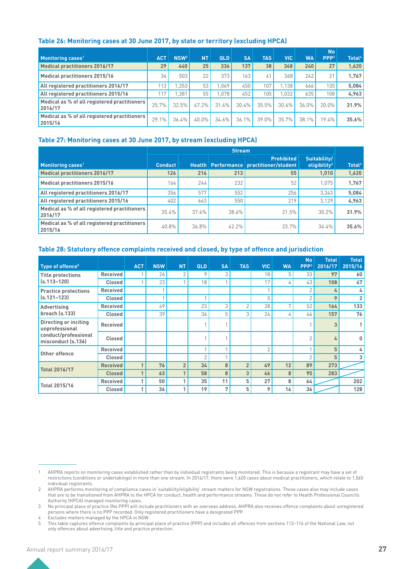#### **Table 26: Monitoring cases at 30 June 2017, by state or territory (excluding HPCA)**

|                                                         |            |                  |           |       |           |            |            |           | <b>No</b>        |                    |
|---------------------------------------------------------|------------|------------------|-----------|-------|-----------|------------|------------|-----------|------------------|--------------------|
| Monitoring cases <sup>1</sup>                           | <b>ACT</b> | NSW <sup>2</sup> | <b>NT</b> | QLD   | <b>SA</b> | <b>TAS</b> | <b>VIC</b> | <b>WA</b> | PPP <sup>3</sup> | Total <sup>4</sup> |
| <b>Medical practitioners 2016/17</b>                    | 29         | 440              | 25        | 336   | 137       | 38         | 348        | 240       | 27               | 1,620              |
| <b>Medical practitioners 2015/16</b>                    | 34         | 503              | 22        | 373   | 163       | 41         | 368        | 242       | 21               | 1.767              |
| All registered practitioners 2016/17                    | 113        | .353             | 53        | .069  | 450       | 107        | 1.138      | 666       | 135              | 5,084              |
| All registered practitioners 2015/16                    | 117        | .381             | 55        | .078  | 452       | 105        | 1.032      | 635       | 108              | 4,963              |
| Medical as % of all registered practitioners<br>2016/17 | 25.7%      | 32.5%            | $47.2\%$  | 31.4% | 30.4%     | 35.5%      | 30.6%      | $36.0\%$  | $20.0\%$         | 31.9%              |
| Medical as % of all registered practitioners<br>2015/16 | 29.1%      | 36.4%            | 40.0%     | 34.6% | 36.1%     | 39.0%      | 35.7%      | 38.1%     | 19.4%            | 35.6%              |

#### **Table 27: Monitoring cases at 30 June 2017, by stream (excluding HPCA)**

|                                                         |                |       | <b>Stream</b> |                                                              |                                          |                    |
|---------------------------------------------------------|----------------|-------|---------------|--------------------------------------------------------------|------------------------------------------|--------------------|
| Monitoring cases <sup>1</sup>                           | <b>Conduct</b> |       |               | <b>Prohibited</b><br>Health Performance practitioner/student | Suitability/<br>eligibility <sup>2</sup> | Total <sup>4</sup> |
| <b>Medical practitioners 2016/17</b>                    | 126            | 216   | 213           | 55                                                           | 1,010                                    | 1,620              |
| <b>Medical practitioners 2015/16</b>                    | 164            | 244   | 232           | 52                                                           | 1.075                                    | 1.767              |
| All registered practitioners 2016/17                    | 356            | 577   | 552           | 256                                                          | 3.343                                    | 5,084              |
| All registered practitioners 2015/16                    | 402            | 663   | 550           | 219                                                          | 3.129                                    | 4,963              |
| Medical as % of all registered practitioners<br>2016/17 | 35.4%          | 37.4% | 38.6%         | 21.5%                                                        | 30.2%                                    | 31.9%              |
| Medical as % of all registered practitioners<br>2015/16 | 40.8%          | 36.8% | 42.2%         | 23.7%                                                        | 34.4%                                    | 35.6%              |

#### **Table 28: Statutory offence complaints received and closed, by type of offence and jurisdiction**

|                                             |                 |            |            |                |                |           |                |                |              | <b>No</b><br>PPP <sup>3</sup> | <b>Total</b><br>2016/17 | <b>Total</b>  |
|---------------------------------------------|-----------------|------------|------------|----------------|----------------|-----------|----------------|----------------|--------------|-------------------------------|-------------------------|---------------|
| Type of offence <sup>5</sup>                |                 | <b>ACT</b> | <b>NSW</b> | <b>NT</b>      | <b>QLD</b>     | <b>SA</b> | <b>TAS</b>     | <b>VIC</b>     | <b>WA</b>    |                               |                         | 2015/16       |
| <b>Title protections</b><br>$(s.113 - 120)$ | <b>Received</b> |            | 26         | $\overline{2}$ | 9              | 3         |                | 18             | 5            | 33                            | 97                      | 60            |
|                                             | <b>Closed</b>   |            | 23         | $\overline{a}$ | 18             |           |                | 17             | 4            | 43                            | 108                     | 47            |
| <b>Practice protections</b>                 | Received        |            |            |                |                |           |                |                |              | $\overline{2}$                | 4                       | $\frac{1}{2}$ |
| $(s.121 - 123)$                             | <b>Closed</b>   |            |            |                |                |           |                | 5              |              | $\overline{2}$                | 9                       | $\mathbf{2}$  |
| Advertising                                 | <b>Received</b> |            | 49         |                | 23             | 3         | $\overline{2}$ | 28             | $\mathbf{r}$ | 52                            | 164                     | 133           |
| breach (s.133)                              | <b>Closed</b>   |            | 39         |                | 36             | 5         | 3              | 24             | 4            | 46                            | 157                     | 76            |
| Directing or inciting<br>unprofessional     | <b>Received</b> |            |            |                |                |           |                |                |              |                               | 3                       | 1             |
| conduct/professional<br>misconduct (s.136)  | <b>Closed</b>   |            |            |                |                |           |                |                |              | $\overline{2}$                | 4                       | $\mathbf 0$   |
| Other offence                               | <b>Received</b> |            |            |                |                |           |                | $\overline{2}$ |              |                               | 5                       | $\frac{1}{2}$ |
|                                             | <b>Closed</b>   |            |            |                | $\overline{2}$ |           |                |                |              | $\overline{2}$                | 5                       | 3             |
| <b>Total 2016/17</b>                        | <b>Received</b> |            | 76         | $\overline{2}$ | 34             | 8         | $\overline{2}$ | 49             | 12           | 89                            | 273                     |               |
|                                             | <b>Closed</b>   |            | 63         |                | 58             | 8         | 3              | 46             | 8            | 95                            | 283                     |               |
|                                             | <b>Received</b> | 4          | 50         | 1              | 35             | 11        | 5              | 27             | 8            | 64                            |                         | 202           |
| <b>Total 2015/16</b>                        | <b>Closed</b>   |            | 36         |                | 19             | 7         | 5              | 9              | 14           | 36                            |                         | 128           |

<sup>1</sup> AHPRA reports on monitoring cases established rather than by individual registrants being monitored. This is because a registrant may have a set of restrictions (conditions or undertakings) in more than one stream. In 2016/17, there were 1,620 cases about medical practitioners, which relate to 1,565 individual registrants.

<sup>2</sup> AHPRA performs monitoring of compliance cases in 'suitability/eligibility' stream matters for NSW registrations. These cases also may include cases that are to be transitioned from AHPRA to the HPCA for conduct, health and performance streams. These do not refer to Health Professional Councils Authority (HPCA) managed monitoring cases.

<sup>3</sup> No principal place of practice (No PPP) will include practitioners with an overseas address. AHPRA also receives offence complaints about unregistered persons where there is no PPP recorded. Only registered practitioners have a designated PPP.

<sup>4</sup> Excludes matters managed by the HPCA in NSW.<br>5 This table captures offence complaints by princip

<sup>5</sup> This table captures offence complaints by principal place of practice (PPP) and includes all offences from sections 113–116 of the National Law, not only offences about advertising, title and practice protection.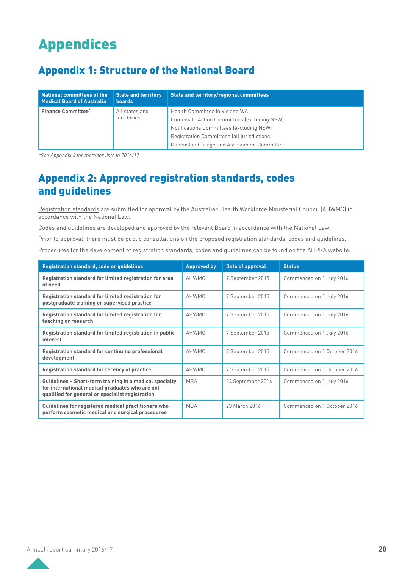# Appendices

# Appendix 1: Structure of the National Board

| National committees of the<br>Medical Board of Australia | <b>State and territory</b><br><b>boards</b> | State and territory/regional committees     |  |
|----------------------------------------------------------|---------------------------------------------|---------------------------------------------|--|
| <b>Finance Committee*</b>                                | All states and<br>territories               | Health Committee in Vic and WA              |  |
|                                                          |                                             | Immediate Action Committees (excluding NSW) |  |
|                                                          |                                             | Notifications Committees (excluding NSW)    |  |
|                                                          |                                             | Registration Committees (all jurisdictions) |  |
|                                                          |                                             | Queensland Triage and Assessment Committee  |  |

*\*See Appendix 3 for member lists in 2016/17*

# Appendix 2: Approved registration standards, codes and guidelines

[Registration standards](http://www.medicalboard.gov.au/Codes-Guidelines-Policies) are submitted for approval by the Australian Health Workforce Ministerial Council (AHWMC) in accordance with the National Law.

[Codes and guidelines](http://www.medicalboard.gov.au/Codes-Guidelines-Policies) are developed and approved by the relevant Board in accordance with the National Law.

Prior to approval, there must be public consultations on the proposed registration standards, codes and guidelines.

Procedures for the development of registration standards, codes and guidelines can be found on [the AHPRA website.](http://www.ahpra.gov.au/Publications/Procedures)

| <b>Registration standard, code or guidelines</b>                                                                                                               | <b>Approved by</b> | Date of approval  | <b>Status</b>               |
|----------------------------------------------------------------------------------------------------------------------------------------------------------------|--------------------|-------------------|-----------------------------|
| Registration standard for limited registration for area<br>of need                                                                                             | AHWMC              | 7 September 2015  | Commenced on 1 July 2016    |
| Registration standard for limited registration for<br>postgraduate training or supervised practice                                                             | AHWMC              | 7 September 2015  | Commenced on 1 July 2016    |
| Registration standard for limited registration for<br>teaching or research                                                                                     | AHWMC              | 7 September 2015  | Commenced on 1 July 2016    |
| Registration standard for limited registration in public<br>interest                                                                                           | AHWMC              | 7 September 2015  | Commenced on 1 July 2016    |
| Registration standard for continuing professional<br>development                                                                                               | <b>AHWMC</b>       | 7 September 2015  | Commenced on 1 October 2016 |
| Registration standard for recency of practice                                                                                                                  | AHWMC              | 7 September 2015  | Commenced on 1 October 2016 |
| Guidelines - Short-term training in a medical specialty<br>for international medical graduates who are not<br>qualified for general or specialist registration | <b>MBA</b>         | 24 September 2014 | Commenced on 1 July 2016    |
| Guidelines for registered medical practitioners who<br>perform cosmetic medical and surgical procedures                                                        | <b>MBA</b>         | 23 March 2016     | Commenced on 1 October 2016 |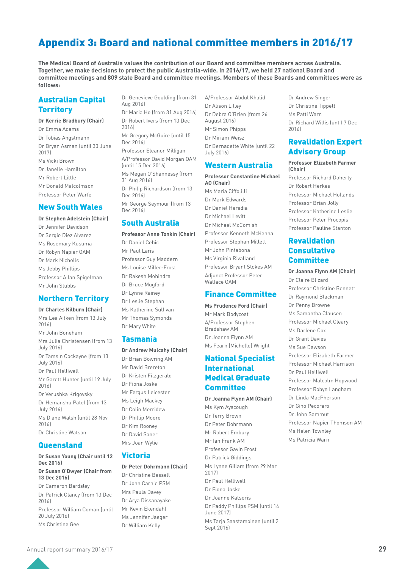# Appendix 3: Board and national committee members in 2016/17

**The Medical Board of Australia values the contribution of our Board and committee members across Australia. Together, we make decisions to protect the public Australia-wide. In 2016/17, we held 27 national Board and committee meetings and 809 state Board and committee meetings. Members of these Boards and committees were as follows:**

### Australian Capital **Territory**

#### **Dr Kerrie Bradbury (Chair)**

Dr Emma Adams Dr Tobias Angstmann Dr Bryan Asman (until 30 June 2017) Ms Vicki Brown Dr Janelle Hamilton Mr Robert Little Mr Donald Malcolmson Professor Peter Warfe

### New South Wales

- **Dr Stephen Adelstein (Chair)**
- Dr Jennifer Davidson Dr Sergio Diez Alvarez Ms Rosemary Kusuma Dr Robyn Napier OAM Dr Mark Nicholls Ms Jebby Phillips Professor Allan Spigelman Mr John Stubbs

### Northern Territory

#### **Dr Charles Kilburn (Chair)**

Mrs Lea Aitken (from 13 July 2016) Mr John Boneham Mrs Julia Christensen (from 13 July 2016) Dr Tamsin Cockayne (from 13 July 2016) Dr Paul Helliwell Mr Garett Hunter (until 19 July 2016) Dr Verushka Krigovsky Dr Hemanshu Patel (from 13 July 2016) Ms Diane Walsh (until 28 Nov  $2016$ Dr Christine Watson

### Queensland

#### **Dr Susan Young (Chair until 12 Dec 2016)**

#### **Dr Susan O'Dwyer (Chair from 13 Dec 2016)**

Dr Cameron Bardsley Dr Patrick Clancy (from 13 Dec  $2016$ Professor William Coman (until 20 July 2016) Ms Christine Gee

Dr Genevieve Goulding (from 31 Aug 2016)

Dr Maria Ho (from 31 Aug 2016) Dr Robert Ivers (from 13 Dec 2016) Mr Gregory McGuire (until 15 Dec 2016) Professor Eleanor Milligan A/Professor David Morgan OAM (until 15 Dec 2016) Ms Megan O'Shannessy (from

31 Aug 2016) Dr Philip Richardson (from 13 Dec 2016) Mr George Seymour (from 13 Dec 2016)

### South Australia

**Professor Anne Tonkin (Chair)** Dr Daniel Cehic Mr Paul Laris Professor Guy Maddern Ms Louise Miller-Frost Dr Rakesh Mohindra Dr Bruce Mugford Dr Lynne Rainey Dr Leslie Stephan Ms Katherine Sullivan Mr Thomas Symonds Dr Mary White

### Tasmania

#### **Dr Andrew Mulcahy (Chair)**

Dr Brian Bowring AM Mr David Brereton Dr Kristen Fitzgerald Dr Fiona Joske Mr Fergus Leicester Ms Leigh Mackey Dr Colin Merridew Dr Phillip Moore Dr Kim Rooney Dr David Saner Mrs Joan Wylie

### Victoria

#### **Dr Peter Dohrmann (Chair)**

Dr Christine Bessell Dr John Carnie PSM Mrs Paula Davey Dr Arya Dissanayake Mr Kevin Ekendahl Ms Jennifer Jaeger Dr William Kelly

A/Professor Abdul Khalid Dr Alison Lilley Dr Debra O'Brien (from 26 August 2016) Mr Simon Phipps Dr Miriam Weisz Dr Bernadette White (until 22 July 2016)

### Western Australia

**Professor Constantine Michael AO (Chair)** Ms Maria Ciffolilli Dr Mark Edwards Dr Daniel Heredia Dr Michael Levitt Dr Michael McComish Professor Kenneth McKenna Professor Stephan Millett Mr John Pintabona Ms Virginia Rivalland Professor Bryant Stokes AM Adjunct Professor Peter Wallace OAM

### Finance Committee

**Ms Prudence Ford (Chair)** Mr Mark Bodycoat A/Professor Stephen Bradshaw AM Dr Joanna Flynn AM Ms Fearn (Michelle) Wright

### National Specialist International Medical Graduate **Committee**

**Dr Joanna Flynn AM (Chair)** Ms Kym Ayscough Dr Terry Brown Dr Peter Dohrmann Mr Robert Embury Mr Ian Frank AM Professor Gavin Frost Dr Patrick Giddings Ms Lynne Gillam (from 29 Mar 2017) Dr Paul Helliwell Dr Fiona Joske Dr Joanne Katsoris Dr Paddy Phillips PSM (until 14 June 2017) Ms Tarja Saastamoinen (until 2 Sept 2016)

Dr Andrew Singer Dr Christine Tippett Ms Patti Warn Dr Richard Willis (until 7 Dec 2016)

### Revalidation Expert Advisory Group

**Professor Elizabeth Farmer (Chair)**

Professor Richard Doherty Dr Robert Herkes Professor Michael Hollands Professor Brian Jolly Professor Katherine Leslie Professor Peter Procopis Professor Pauline Stanton

### Revalidation **Consultative Committee**

#### **Dr Joanna Flynn AM (Chair)**

Dr Claire Blizard Professor Christine Bennett Dr Raymond Blackman Dr Penny Browne Ms Samantha Clausen Professor Michael Cleary Ms Darlene Cox Dr Grant Davies Ms Sue Dawson Professor Elizabeth Farmer Professor Michael Harrison Dr Paul Helliwell Professor Malcolm Hopwood Professor Robyn Langham Dr Linda MacPherson Dr Gino Pecoraro Dr John Sammut Professor Napier Thomson AM Ms Helen Townley Ms Patricia Warn

Annual report summary 2016/17 **29**

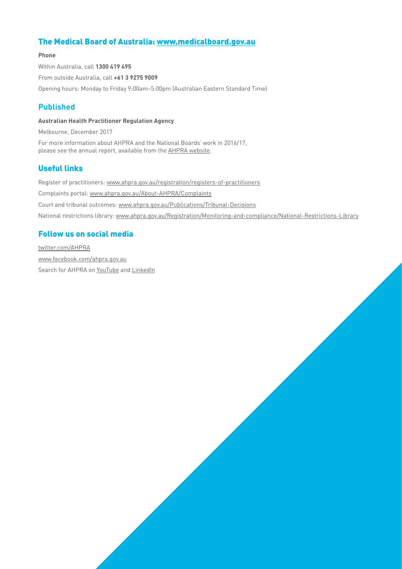### The Medical Board of Australia: [www.medicalboard.gov.au](http://www.medicalboard.gov.au)

#### **Phone**

Within Australia, call **1300 419 495**  From outside Australia, call **+61 3 9275 9009**  Opening hours: Monday to Friday 9:00am–5:00pm (Australian Eastern Standard Time)

### **Published**

#### **Australian Health Practitioner Regulation Agency**

Melbourne, December 2017

For more information about AHPRA and the National Boards' work in 2016/17, please see the annual report, available from the [AHPRA website.](http://www.ahpra.gov.au/annualreport/2017/)

### Useful links

Register of practitioners: [www.ahpra.gov.au/registration/registers-of-practitioners](http://www.ahpra.gov.au/registration/registers-of-practitioners) Complaints portal: [www.ahpra.gov.au/About-AHPRA/Complaints](http://www.ahpra.gov.au/About-AHPRA/Complaints) Court and tribunal outcomes: [www.ahpra.gov.au/Publications/Tribunal-Decisions](http://www.ahpra.gov.au/Publications/Tribunal-Decisions) National restrictions library: [www.ahpra.gov.au/Registration/Monitoring-and-compliance/National-Restrictions-Library](http://www.ahpra.gov.au/Registration/Monitoring-and-compliance/National-Restrictions-Library)

### Follow us on social media

[twitter.com/AHPRA](http://twitter.com/AHPRA) [www.facebook.com/ahpra.gov.au](http://www.facebook.com/ahpra.gov.au) Search for [AHPRA](https://www.linkedin.com/company/648146/) on [YouTube](https://www.youtube.com/channel/UCtswdaCOff5CIv1ijDY9ffw) and [LinkedIn](https://www.linkedin.com/company/648146/)